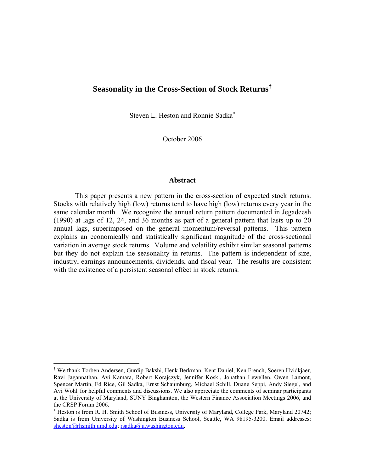# **Seasonality in the Cross-Section of Stock Returns†**

Steven L. Heston and Ronnie Sadka<sup>\*</sup>

October 2006

# **Abstract**

 This paper presents a new pattern in the cross-section of expected stock returns. Stocks with relatively high (low) returns tend to have high (low) returns every year in the same calendar month. We recognize the annual return pattern documented in Jegadeesh (1990) at lags of 12, 24, and 36 months as part of a general pattern that lasts up to 20 annual lags, superimposed on the general momentum/reversal patterns. This pattern explains an economically and statistically significant magnitude of the cross-sectional variation in average stock returns. Volume and volatility exhibit similar seasonal patterns but they do not explain the seasonality in returns. The pattern is independent of size, industry, earnings announcements, dividends, and fiscal year. The results are consistent with the existence of a persistent seasonal effect in stock returns.

 $\overline{a}$ 

<sup>†</sup> We thank Torben Andersen, Gurdip Bakshi, Henk Berkman, Kent Daniel, Ken French, Soeren Hvidkjaer, Ravi Jagannathan, Avi Kamara, Robert Korajczyk, Jennifer Koski, Jonathan Lewellen, Owen Lamont, Spencer Martin, Ed Rice, Gil Sadka, Ernst Schaumburg, Michael Schill, Duane Seppi, Andy Siegel, and Avi Wohl for helpful comments and discussions. We also appreciate the comments of seminar participants at the University of Maryland, SUNY Binghamton, the Western Finance Association Meetings 2006, and the CRSP Forum 2006.

<sup>∗</sup> Heston is from R. H. Smith School of Business, University of Maryland, College Park, Maryland 20742; Sadka is from University of Washington Business School, Seattle, WA 98195-3200. Email addresses: sheston@rhsmith.umd.edu; rsadka@u.washington.edu.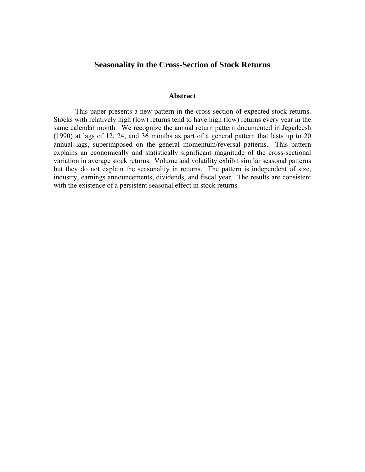# **Seasonality in the Cross-Section of Stock Returns**

### **Abstract**

 This paper presents a new pattern in the cross-section of expected stock returns. Stocks with relatively high (low) returns tend to have high (low) returns every year in the same calendar month. We recognize the annual return pattern documented in Jegadeesh (1990) at lags of 12, 24, and 36 months as part of a general pattern that lasts up to 20 annual lags, superimposed on the general momentum/reversal patterns. This pattern explains an economically and statistically significant magnitude of the cross-sectional variation in average stock returns. Volume and volatility exhibit similar seasonal patterns but they do not explain the seasonality in returns. The pattern is independent of size, industry, earnings announcements, dividends, and fiscal year. The results are consistent with the existence of a persistent seasonal effect in stock returns.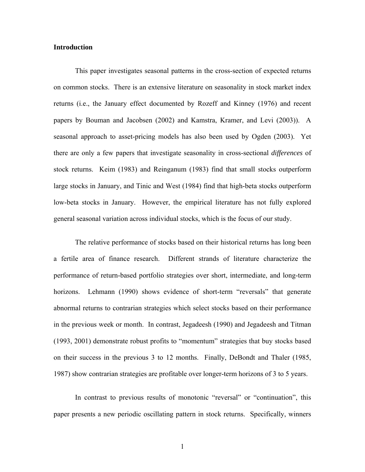# **Introduction**

This paper investigates seasonal patterns in the cross-section of expected returns on common stocks. There is an extensive literature on seasonality in stock market index returns (i.e., the January effect documented by Rozeff and Kinney (1976) and recent papers by Bouman and Jacobsen (2002) and Kamstra, Kramer, and Levi (2003)). A seasonal approach to asset-pricing models has also been used by Ogden (2003). Yet there are only a few papers that investigate seasonality in cross-sectional *differences* of stock returns. Keim (1983) and Reinganum (1983) find that small stocks outperform large stocks in January, and Tinic and West (1984) find that high-beta stocks outperform low-beta stocks in January. However, the empirical literature has not fully explored general seasonal variation across individual stocks, which is the focus of our study.

The relative performance of stocks based on their historical returns has long been a fertile area of finance research. Different strands of literature characterize the performance of return-based portfolio strategies over short, intermediate, and long-term horizons. Lehmann (1990) shows evidence of short-term "reversals" that generate abnormal returns to contrarian strategies which select stocks based on their performance in the previous week or month. In contrast, Jegadeesh (1990) and Jegadeesh and Titman (1993, 2001) demonstrate robust profits to "momentum" strategies that buy stocks based on their success in the previous 3 to 12 months. Finally, DeBondt and Thaler (1985, 1987) show contrarian strategies are profitable over longer-term horizons of 3 to 5 years.

In contrast to previous results of monotonic "reversal" or "continuation", this paper presents a new periodic oscillating pattern in stock returns. Specifically, winners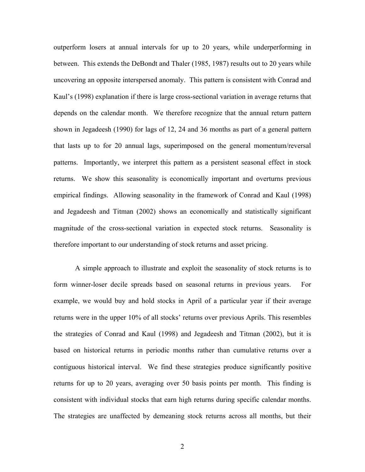outperform losers at annual intervals for up to 20 years, while underperforming in between. This extends the DeBondt and Thaler (1985, 1987) results out to 20 years while uncovering an opposite interspersed anomaly. This pattern is consistent with Conrad and Kaul's (1998) explanation if there is large cross-sectional variation in average returns that depends on the calendar month. We therefore recognize that the annual return pattern shown in Jegadeesh (1990) for lags of 12, 24 and 36 months as part of a general pattern that lasts up to for 20 annual lags, superimposed on the general momentum/reversal patterns. Importantly, we interpret this pattern as a persistent seasonal effect in stock returns. We show this seasonality is economically important and overturns previous empirical findings. Allowing seasonality in the framework of Conrad and Kaul (1998) and Jegadeesh and Titman (2002) shows an economically and statistically significant magnitude of the cross-sectional variation in expected stock returns. Seasonality is therefore important to our understanding of stock returns and asset pricing.

A simple approach to illustrate and exploit the seasonality of stock returns is to form winner-loser decile spreads based on seasonal returns in previous years. For example, we would buy and hold stocks in April of a particular year if their average returns were in the upper 10% of all stocks' returns over previous Aprils. This resembles the strategies of Conrad and Kaul (1998) and Jegadeesh and Titman (2002), but it is based on historical returns in periodic months rather than cumulative returns over a contiguous historical interval. We find these strategies produce significantly positive returns for up to 20 years, averaging over 50 basis points per month. This finding is consistent with individual stocks that earn high returns during specific calendar months. The strategies are unaffected by demeaning stock returns across all months, but their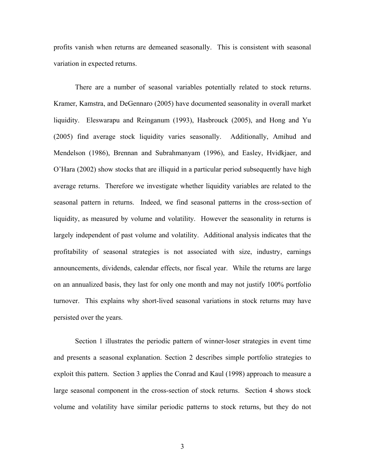profits vanish when returns are demeaned seasonally. This is consistent with seasonal variation in expected returns.

There are a number of seasonal variables potentially related to stock returns. Kramer, Kamstra, and DeGennaro (2005) have documented seasonality in overall market liquidity. Eleswarapu and Reinganum (1993), Hasbrouck (2005), and Hong and Yu (2005) find average stock liquidity varies seasonally. Additionally, Amihud and Mendelson (1986), Brennan and Subrahmanyam (1996), and Easley, Hvidkjaer, and O'Hara (2002) show stocks that are illiquid in a particular period subsequently have high average returns. Therefore we investigate whether liquidity variables are related to the seasonal pattern in returns. Indeed, we find seasonal patterns in the cross-section of liquidity, as measured by volume and volatility. However the seasonality in returns is largely independent of past volume and volatility. Additional analysis indicates that the profitability of seasonal strategies is not associated with size, industry, earnings announcements, dividends, calendar effects, nor fiscal year. While the returns are large on an annualized basis, they last for only one month and may not justify 100% portfolio turnover. This explains why short-lived seasonal variations in stock returns may have persisted over the years.

Section 1 illustrates the periodic pattern of winner-loser strategies in event time and presents a seasonal explanation. Section 2 describes simple portfolio strategies to exploit this pattern. Section 3 applies the Conrad and Kaul (1998) approach to measure a large seasonal component in the cross-section of stock returns. Section 4 shows stock volume and volatility have similar periodic patterns to stock returns, but they do not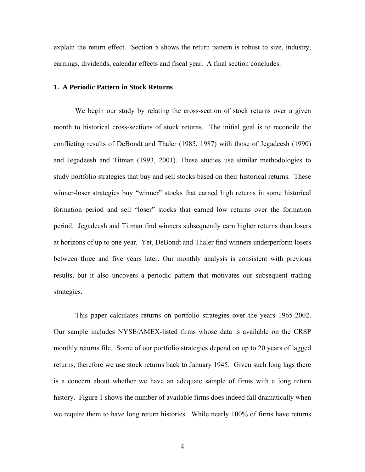explain the return effect. Section 5 shows the return pattern is robust to size, industry, earnings, dividends, calendar effects and fiscal year. A final section concludes.

# **1. A Periodic Pattern in Stock Returns**

We begin our study by relating the cross-section of stock returns over a given month to historical cross-sections of stock returns. The initial goal is to reconcile the conflicting results of DeBondt and Thaler (1985, 1987) with those of Jegadeesh (1990) and Jegadeesh and Titman (1993, 2001). These studies use similar methodologies to study portfolio strategies that buy and sell stocks based on their historical returns. These winner-loser strategies buy "winner" stocks that earned high returns in some historical formation period and sell "loser" stocks that earned low returns over the formation period. Jegadeesh and Titman find winners subsequently earn higher returns than losers at horizons of up to one year. Yet, DeBondt and Thaler find winners underperform losers between three and five years later. Our monthly analysis is consistent with previous results, but it also uncovers a periodic pattern that motivates our subsequent trading strategies.

This paper calculates returns on portfolio strategies over the years 1965-2002. Our sample includes NYSE/AMEX-listed firms whose data is available on the CRSP monthly returns file. Some of our portfolio strategies depend on up to 20 years of lagged returns, therefore we use stock returns back to January 1945. Given such long lags there is a concern about whether we have an adequate sample of firms with a long return history. Figure 1 shows the number of available firms does indeed fall dramatically when we require them to have long return histories. While nearly 100% of firms have returns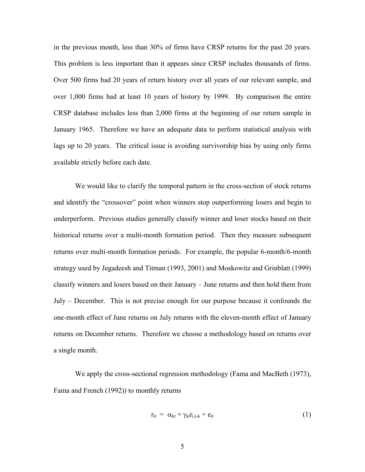in the previous month, less than 30% of firms have CRSP returns for the past 20 years. This problem is less important than it appears since CRSP includes thousands of firms. Over 500 firms had 20 years of return history over all years of our relevant sample, and over 1,000 firms had at least 10 years of history by 1999. By comparison the entire CRSP database includes less than 2,000 firms at the beginning of our return sample in January 1965. Therefore we have an adequate data to perform statistical analysis with lags up to 20 years. The critical issue is avoiding survivorship bias by using only firms available strictly before each date.

We would like to clarify the temporal pattern in the cross-section of stock returns and identify the "crossover" point when winners stop outperforming losers and begin to underperform. Previous studies generally classify winner and loser stocks based on their historical returns over a multi-month formation period. Then they measure subsequent returns over multi-month formation periods. For example, the popular 6-month/6-month strategy used by Jegadeesh and Titman (1993, 2001) and Moskowitz and Grinblatt (1999) classify winners and losers based on their January – June returns and then hold them from July – December. This is not precise enough for our purpose because it confounds the one-month effect of June returns on July returns with the eleven-month effect of January returns on December returns. Therefore we choose a methodology based on returns over a single month.

We apply the cross-sectional regression methodology (Fama and MacBeth (1973), Fama and French (1992)) to monthly returns

$$
\mathbf{r}_{it} = \alpha_{kt} + \gamma_{kt} \mathbf{r}_{i,t-k} + \mathbf{e}_{it}
$$
 (1)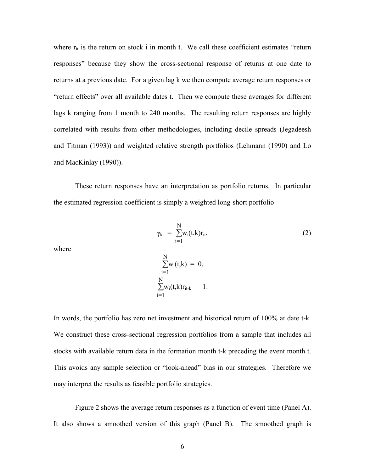where  $r_{it}$  is the return on stock i in month t. We call these coefficient estimates "return responses" because they show the cross-sectional response of returns at one date to returns at a previous date. For a given lag k we then compute average return responses or "return effects" over all available dates t. Then we compute these averages for different lags k ranging from 1 month to 240 months. The resulting return responses are highly correlated with results from other methodologies, including decile spreads (Jegadeesh and Titman (1993)) and weighted relative strength portfolios (Lehmann (1990) and Lo and MacKinlay (1990)).

 These return responses have an interpretation as portfolio returns. In particular the estimated regression coefficient is simply a weighted long-short portfolio

$$
\gamma_{kt} = \sum_{i=1}^{N} w_i(t,k) r_{it}, \qquad (2)
$$
 where

where

$$
\sum_{i=1}^{N} w_i(t,k) = 0, \n\sum_{i=1}^{N} w_i(t,k)r_{it-k} = 1.
$$

In words, the portfolio has zero net investment and historical return of 100% at date t-k. We construct these cross-sectional regression portfolios from a sample that includes all stocks with available return data in the formation month t-k preceding the event month t. This avoids any sample selection or "look-ahead" bias in our strategies. Therefore we may interpret the results as feasible portfolio strategies.

Figure 2 shows the average return responses as a function of event time (Panel A). It also shows a smoothed version of this graph (Panel B). The smoothed graph is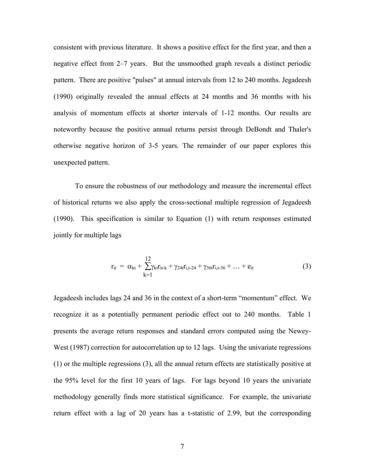consistent with previous literature. It shows a positive effect for the first year, and then a negative effect from 2–7 years. But the unsmoothed graph reveals a distinct periodic pattern. There are positive "pulses" at annual intervals from 12 to 240 months. Jegadeesh (1990) originally revealed the annual effects at 24 months and 36 months with his analysis of momentum effects at shorter intervals of 1-12 months. Our results are noteworthy because the positive annual returns persist through DeBondt and Thaler's otherwise negative horizon of 3-5 years. The remainder of our paper explores this unexpected pattern.

To ensure the robustness of our methodology and measure the incremental effect of historical returns we also apply the cross-sectional multiple regression of Jegadeesh (1990). This specification is similar to Equation (1) with return responses estimated jointly for multiple lags

$$
r_{it} = \alpha_{kt} + \sum_{k=1}^{12} \gamma_{kt} r_{it-k} + \gamma_{24t} r_{i,t-24} + \gamma_{36t} r_{i,t-36} + \dots + e_{it}
$$
(3)

Jegadeesh includes lags 24 and 36 in the context of a short-term "momentum" effect. We recognize it as a potentially permanent periodic effect out to 240 months. Table 1 presents the average return responses and standard errors computed using the Newey-West (1987) correction for autocorrelation up to 12 lags. Using the univariate regressions (1) or the multiple regressions (3), all the annual return effects are statistically positive at the 95% level for the first 10 years of lags. For lags beyond 10 years the univariate methodology generally finds more statistical significance. For example, the univariate return effect with a lag of 20 years has a t-statistic of 2.99, but the corresponding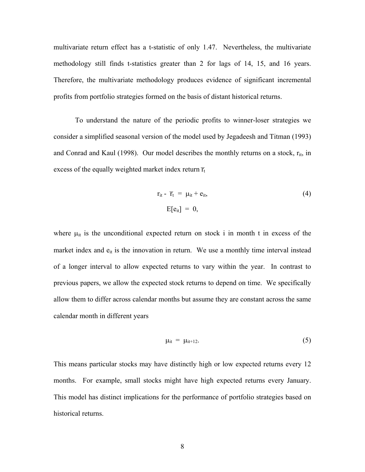multivariate return effect has a t-statistic of only 1.47. Nevertheless, the multivariate methodology still finds t-statistics greater than 2 for lags of 14, 15, and 16 years. Therefore, the multivariate methodology produces evidence of significant incremental profits from portfolio strategies formed on the basis of distant historical returns.

 To understand the nature of the periodic profits to winner-loser strategies we consider a simplified seasonal version of the model used by Jegadeesh and Titman (1993) and Conrad and Kaul (1998). Our model describes the monthly returns on a stock,  $r_{it}$ , in excess of the equally weighted market index return  $\overline{r}_t$  $\mathcal{L}(\mathcal{L})$ 

$$
r_{it} - \overline{r}_t = \mu_{it} + e_{it},
$$
  
\n
$$
E[e_{it}] = 0,
$$
\n(4)

where  $\mu_{it}$  is the unconditional expected return on stock i in month t in excess of the market index and  $e_{it}$  is the innovation in return. We use a monthly time interval instead of a longer interval to allow expected returns to vary within the year. In contrast to previous papers, we allow the expected stock returns to depend on time. We specifically allow them to differ across calendar months but assume they are constant across the same calendar month in different years

$$
\mu_{it} = \mu_{it+12}.\tag{5}
$$

This means particular stocks may have distinctly high or low expected returns every 12 months. For example, small stocks might have high expected returns every January. This model has distinct implications for the performance of portfolio strategies based on historical returns.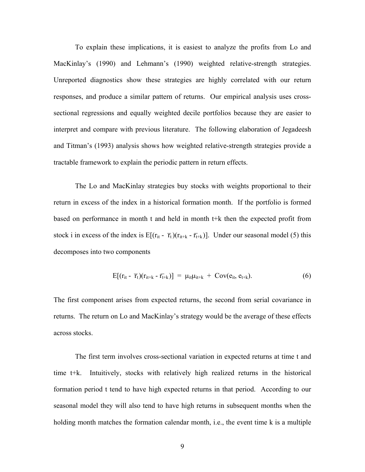To explain these implications, it is easiest to analyze the profits from Lo and MacKinlay's (1990) and Lehmann's (1990) weighted relative-strength strategies. Unreported diagnostics show these strategies are highly correlated with our return responses, and produce a similar pattern of returns. Our empirical analysis uses crosssectional regressions and equally weighted decile portfolios because they are easier to interpret and compare with previous literature. The following elaboration of Jegadeesh and Titman's (1993) analysis shows how weighted relative-strength strategies provide a tractable framework to explain the periodic pattern in return effects.

 The Lo and MacKinlay strategies buy stocks with weights proportional to their return in excess of the index in a historical formation month. If the portfolio is formed based on performance in month t and held in month t+k then the expected profit from stock i in excess of the index is  $E[(r_{it} - \overline{r}_{t})]$  $\overline{a}$  $(\overline{r}_{t})(r_{it+k} - \overline{r}_{t+k})$  $\overline{a}$  $[\tau_{t+k})]$ . Under our seasonal model (5) this decomposes into two components

$$
E[(r_{it} - \overline{r}_t)(r_{it+k} - \overline{r}_{t+k})] = \mu_{it}\mu_{it+k} + \text{Cov}(e_{it}, e_{t+k}). \tag{6}
$$

The first component arises from expected returns, the second from serial covariance in returns. The return on Lo and MacKinlay's strategy would be the average of these effects across stocks.

 The first term involves cross-sectional variation in expected returns at time t and time t+k. Intuitively, stocks with relatively high realized returns in the historical formation period t tend to have high expected returns in that period. According to our seasonal model they will also tend to have high returns in subsequent months when the holding month matches the formation calendar month, i.e., the event time k is a multiple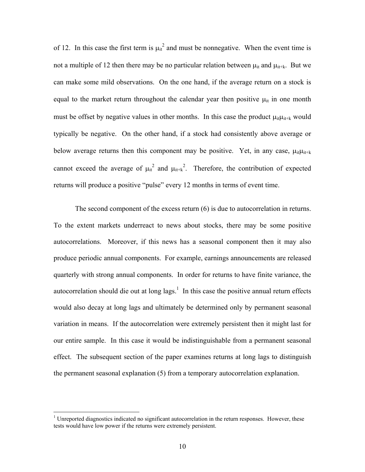of 12. In this case the first term is  $\mu_{it}^2$  and must be nonnegative. When the event time is not a multiple of 12 then there may be no particular relation between  $\mu_{it}$  and  $\mu_{it+k}$ . But we can make some mild observations. On the one hand, if the average return on a stock is equal to the market return throughout the calendar year then positive  $\mu_{it}$  in one month must be offset by negative values in other months. In this case the product  $\mu_{it} \mu_{it+k}$  would typically be negative. On the other hand, if a stock had consistently above average or below average returns then this component may be positive. Yet, in any case,  $\mu_{it} \mu_{it+k}$ cannot exceed the average of  $\mu_{it}^2$  and  $\mu_{it+k}^2$ . Therefore, the contribution of expected returns will produce a positive "pulse" every 12 months in terms of event time.

 The second component of the excess return (6) is due to autocorrelation in returns. To the extent markets underreact to news about stocks, there may be some positive autocorrelations. Moreover, if this news has a seasonal component then it may also produce periodic annual components. For example, earnings announcements are released quarterly with strong annual components. In order for returns to have finite variance, the autocorrelation should die out at long lags.<sup>1</sup> In this case the positive annual return effects would also decay at long lags and ultimately be determined only by permanent seasonal variation in means. If the autocorrelation were extremely persistent then it might last for our entire sample. In this case it would be indistinguishable from a permanent seasonal effect. The subsequent section of the paper examines returns at long lags to distinguish the permanent seasonal explanation (5) from a temporary autocorrelation explanation.

1

 $1$  Unreported diagnostics indicated no significant autocorrelation in the return responses. However, these tests would have low power if the returns were extremely persistent.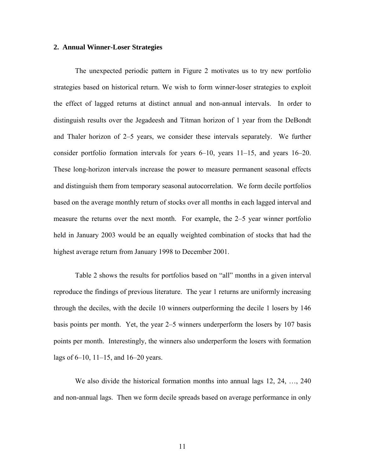# **2. Annual Winner-Loser Strategies**

The unexpected periodic pattern in Figure 2 motivates us to try new portfolio strategies based on historical return. We wish to form winner-loser strategies to exploit the effect of lagged returns at distinct annual and non-annual intervals. In order to distinguish results over the Jegadeesh and Titman horizon of 1 year from the DeBondt and Thaler horizon of 2–5 years, we consider these intervals separately. We further consider portfolio formation intervals for years 6–10, years 11–15, and years 16–20. These long-horizon intervals increase the power to measure permanent seasonal effects and distinguish them from temporary seasonal autocorrelation. We form decile portfolios based on the average monthly return of stocks over all months in each lagged interval and measure the returns over the next month. For example, the 2–5 year winner portfolio held in January 2003 would be an equally weighted combination of stocks that had the highest average return from January 1998 to December 2001.

Table 2 shows the results for portfolios based on "all" months in a given interval reproduce the findings of previous literature. The year 1 returns are uniformly increasing through the deciles, with the decile 10 winners outperforming the decile 1 losers by 146 basis points per month. Yet, the year 2–5 winners underperform the losers by 107 basis points per month. Interestingly, the winners also underperform the losers with formation lags of 6–10, 11–15, and 16–20 years.

We also divide the historical formation months into annual lags 12, 24, …, 240 and non-annual lags. Then we form decile spreads based on average performance in only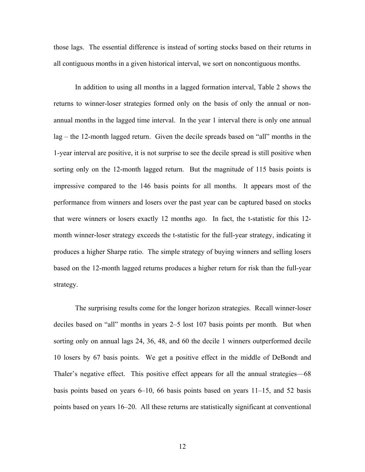those lags. The essential difference is instead of sorting stocks based on their returns in all contiguous months in a given historical interval, we sort on noncontiguous months.

In addition to using all months in a lagged formation interval, Table 2 shows the returns to winner-loser strategies formed only on the basis of only the annual or nonannual months in the lagged time interval. In the year 1 interval there is only one annual lag – the 12-month lagged return. Given the decile spreads based on "all" months in the 1-year interval are positive, it is not surprise to see the decile spread is still positive when sorting only on the 12-month lagged return. But the magnitude of 115 basis points is impressive compared to the 146 basis points for all months. It appears most of the performance from winners and losers over the past year can be captured based on stocks that were winners or losers exactly 12 months ago. In fact, the t-statistic for this 12 month winner-loser strategy exceeds the t-statistic for the full-year strategy, indicating it produces a higher Sharpe ratio. The simple strategy of buying winners and selling losers based on the 12-month lagged returns produces a higher return for risk than the full-year strategy.

The surprising results come for the longer horizon strategies. Recall winner-loser deciles based on "all" months in years 2–5 lost 107 basis points per month. But when sorting only on annual lags 24, 36, 48, and 60 the decile 1 winners outperformed decile 10 losers by 67 basis points. We get a positive effect in the middle of DeBondt and Thaler's negative effect. This positive effect appears for all the annual strategies—68 basis points based on years 6–10, 66 basis points based on years 11–15, and 52 basis points based on years 16–20. All these returns are statistically significant at conventional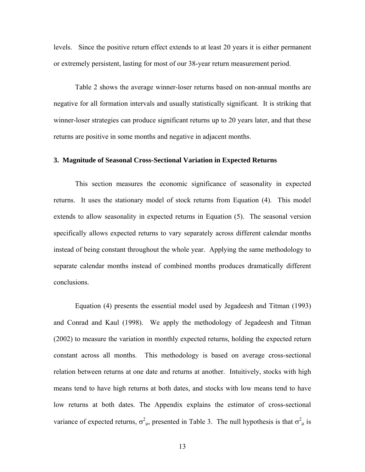levels. Since the positive return effect extends to at least 20 years it is either permanent or extremely persistent, lasting for most of our 38-year return measurement period.

Table 2 shows the average winner-loser returns based on non-annual months are negative for all formation intervals and usually statistically significant. It is striking that winner-loser strategies can produce significant returns up to 20 years later, and that these returns are positive in some months and negative in adjacent months.

# **3. Magnitude of Seasonal Cross-Sectional Variation in Expected Returns**

This section measures the economic significance of seasonality in expected returns. It uses the stationary model of stock returns from Equation (4). This model extends to allow seasonality in expected returns in Equation (5). The seasonal version specifically allows expected returns to vary separately across different calendar months instead of being constant throughout the whole year. Applying the same methodology to separate calendar months instead of combined months produces dramatically different conclusions.

Equation (4) presents the essential model used by Jegadeesh and Titman (1993) and Conrad and Kaul (1998). We apply the methodology of Jegadeesh and Titman (2002) to measure the variation in monthly expected returns, holding the expected return constant across all months. This methodology is based on average cross-sectional relation between returns at one date and returns at another. Intuitively, stocks with high means tend to have high returns at both dates, and stocks with low means tend to have low returns at both dates. The Appendix explains the estimator of cross-sectional variance of expected returns,  $\sigma_{\mu}^2$ , presented in Table 3. The null hypothesis is that  $\sigma_{\mu}^2$  is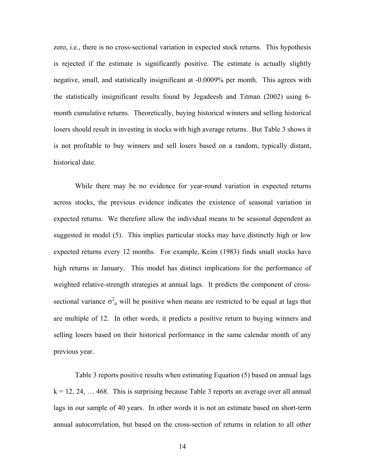zero, i.e., there is no cross-sectional variation in expected stock returns. This hypothesis is rejected if the estimate is significantly positive. The estimate is actually slightly negative, small, and statistically insignificant at -0.0009% per month. This agrees with the statistically insignificant results found by Jegadeesh and Titman (2002) using 6 month cumulative returns. Theoretically, buying historical winners and selling historical losers should result in investing in stocks with high average returns. But Table 3 shows it is not profitable to buy winners and sell losers based on a random, typically distant, historical date.

 While there may be no evidence for year-round variation in expected returns across stocks, the previous evidence indicates the existence of seasonal variation in expected returns. We therefore allow the individual means to be seasonal dependent as suggested in model (5). This implies particular stocks may have distinctly high or low expected returns every 12 months. For example, Keim (1983) finds small stocks have high returns in January. This model has distinct implications for the performance of weighted relative-strength strategies at annual lags. It predicts the component of crosssectional variance  $\sigma_{\mu}^2$  will be positive when means are restricted to be equal at lags that are multiple of 12. In other words, it predicts a positive return to buying winners and selling losers based on their historical performance in the same calendar month of any previous year.

 Table 3 reports positive results when estimating Equation (5) based on annual lags  $k = 12, 24, \ldots 468$ . This is surprising because Table 3 reports an average over all annual lags in our sample of 40 years. In other words it is not an estimate based on short-term annual autocorrelation, but based on the cross-section of returns in relation to all other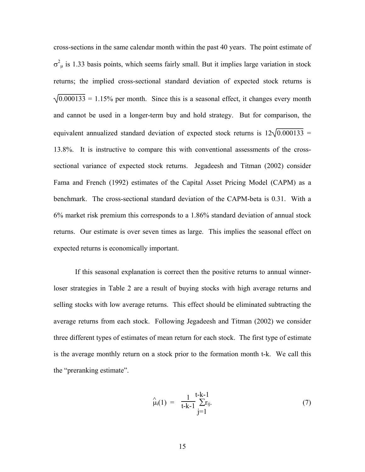cross-sections in the same calendar month within the past 40 years. The point estimate of  $\sigma^2$ <sub>μ</sub> is 1.33 basis points, which seems fairly small. But it implies large variation in stock returns; the implied cross-sectional standard deviation of expected stock returns is  $\sqrt{0.000133}$  = 1.15% per month. Since this is a seasonal effect, it changes every month and cannot be used in a longer-term buy and hold strategy. But for comparison, the equivalent annualized standard deviation of expected stock returns is  $12\sqrt{0.000133}$  = 13.8%. It is instructive to compare this with conventional assessments of the crosssectional variance of expected stock returns. Jegadeesh and Titman (2002) consider Fama and French (1992) estimates of the Capital Asset Pricing Model (CAPM) as a benchmark. The cross-sectional standard deviation of the CAPM-beta is 0.31. With a 6% market risk premium this corresponds to a 1.86% standard deviation of annual stock returns. Our estimate is over seven times as large. This implies the seasonal effect on expected returns is economically important.

If this seasonal explanation is correct then the positive returns to annual winnerloser strategies in Table 2 are a result of buying stocks with high average returns and selling stocks with low average returns. This effect should be eliminated subtracting the average returns from each stock. Following Jegadeesh and Titman (2002) we consider three different types of estimates of mean return for each stock. The first type of estimate is the average monthly return on a stock prior to the formation month t-k. We call this the "preranking estimate".

$$
\hat{\mu}_i(1) = \frac{1}{t-k-1} \sum_{j=1}^{t-k-1} r_{ij}.
$$
\n(7)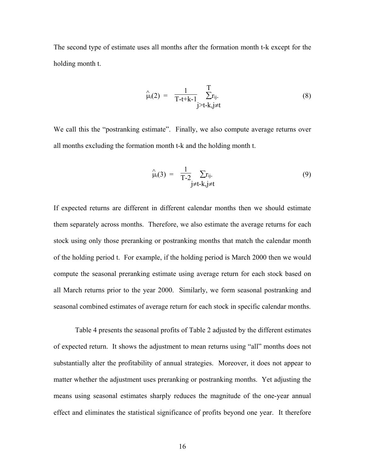The second type of estimate uses all months after the formation month t-k except for the holding month t.

$$
\hat{\mu}_i(2) = \frac{1}{T-t+k-1} \sum_{j=t-k, j \neq t}^{T} r_{ij}.
$$
\n(8)

We call this the "postranking estimate". Finally, we also compute average returns over all months excluding the formation month t-k and the holding month t.

$$
\hat{\mu}_i(3) = \frac{1}{T-2} \sum_{j \neq t-k, j \neq t} r_{ij}.
$$
\n(9)

If expected returns are different in different calendar months then we should estimate them separately across months. Therefore, we also estimate the average returns for each stock using only those preranking or postranking months that match the calendar month of the holding period t. For example, if the holding period is March 2000 then we would compute the seasonal preranking estimate using average return for each stock based on all March returns prior to the year 2000. Similarly, we form seasonal postranking and seasonal combined estimates of average return for each stock in specific calendar months.

Table 4 presents the seasonal profits of Table 2 adjusted by the different estimates of expected return. It shows the adjustment to mean returns using "all" months does not substantially alter the profitability of annual strategies. Moreover, it does not appear to matter whether the adjustment uses preranking or postranking months. Yet adjusting the means using seasonal estimates sharply reduces the magnitude of the one-year annual effect and eliminates the statistical significance of profits beyond one year. It therefore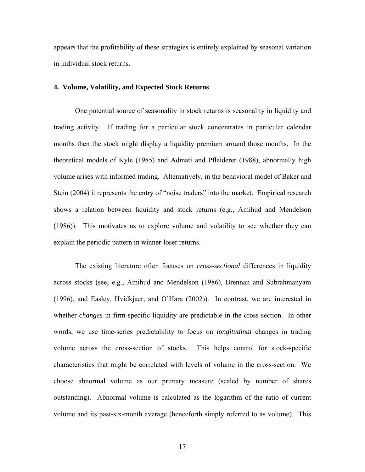appears that the profitability of these strategies is entirely explained by seasonal variation in individual stock returns.

# **4. Volume, Volatility, and Expected Stock Returns**

One potential source of seasonality in stock returns is seasonality in liquidity and trading activity. If trading for a particular stock concentrates in particular calendar months then the stock might display a liquidity premium around those months. In the theoretical models of Kyle (1985) and Admati and Pfleiderer (1988), abnormally high volume arises with informed trading. Alternatively, in the behavioral model of Baker and Stein (2004) it represents the entry of "noise traders" into the market. Empirical research shows a relation between liquidity and stock returns (e.g., Amihud and Mendelson (1986)). This motivates us to explore volume and volatility to see whether they can explain the periodic pattern in winner-loser returns.

The existing literature often focuses on *cross-sectional* differences in liquidity across stocks (see, e.g., Amihud and Mendelson (1986), Brennan and Subrahmanyam (1996), and Easley, Hvidkjaer, and O'Hara (2002)). In contrast, we are interested in whether *changes* in firm-specific liquidity are predictable in the cross-section. In other words, we use time-series predictability to focus on *longitudinal* changes in trading volume across the cross-section of stocks. This helps control for stock-specific characteristics that might be correlated with levels of volume in the cross-section. We choose abnormal volume as our primary measure (scaled by number of shares outstanding). Abnormal volume is calculated as the logarithm of the ratio of current volume and its past-six-month average (henceforth simply referred to as volume). This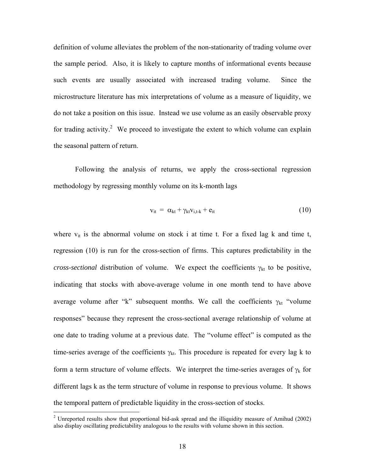definition of volume alleviates the problem of the non-stationarity of trading volume over the sample period. Also, it is likely to capture months of informational events because such events are usually associated with increased trading volume. Since the microstructure literature has mix interpretations of volume as a measure of liquidity, we do not take a position on this issue. Instead we use volume as an easily observable proxy for trading activity.<sup>2</sup> We proceed to investigate the extent to which volume can explain the seasonal pattern of return.

Following the analysis of returns, we apply the cross-sectional regression methodology by regressing monthly volume on its k-month lags

$$
v_{it} = \alpha_{kt} + \gamma_{kt} v_{i,t-k} + e_{it}
$$
 (10)

where  $v_{it}$  is the abnormal volume on stock i at time t. For a fixed lag k and time t, regression (10) is run for the cross-section of firms. This captures predictability in the *cross-sectional* distribution of volume. We expect the coefficients  $\gamma_{kt}$  to be positive, indicating that stocks with above-average volume in one month tend to have above average volume after "k" subsequent months. We call the coefficients  $\gamma_{kt}$  "volume" responses" because they represent the cross-sectional average relationship of volume at one date to trading volume at a previous date. The "volume effect" is computed as the time-series average of the coefficients  $\gamma_{kt}$ . This procedure is repeated for every lag k to form a term structure of volume effects. We interpret the time-series averages of  $\gamma_k$  for different lags k as the term structure of volume in response to previous volume. It shows the temporal pattern of predictable liquidity in the cross-section of stocks. 1

<sup>&</sup>lt;sup>2</sup> Unreported results show that proportional bid-ask spread and the illiquidity measure of Amihud (2002) also display oscillating predictability analogous to the results with volume shown in this section.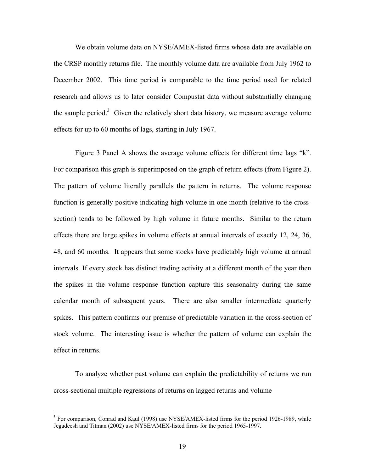We obtain volume data on NYSE/AMEX-listed firms whose data are available on the CRSP monthly returns file. The monthly volume data are available from July 1962 to December 2002. This time period is comparable to the time period used for related research and allows us to later consider Compustat data without substantially changing the sample period.<sup>3</sup> Given the relatively short data history, we measure average volume effects for up to 60 months of lags, starting in July 1967.

Figure 3 Panel A shows the average volume effects for different time lags "k". For comparison this graph is superimposed on the graph of return effects (from Figure 2). The pattern of volume literally parallels the pattern in returns. The volume response function is generally positive indicating high volume in one month (relative to the crosssection) tends to be followed by high volume in future months. Similar to the return effects there are large spikes in volume effects at annual intervals of exactly 12, 24, 36, 48, and 60 months. It appears that some stocks have predictably high volume at annual intervals. If every stock has distinct trading activity at a different month of the year then the spikes in the volume response function capture this seasonality during the same calendar month of subsequent years. There are also smaller intermediate quarterly spikes. This pattern confirms our premise of predictable variation in the cross-section of stock volume. The interesting issue is whether the pattern of volume can explain the effect in returns.

To analyze whether past volume can explain the predictability of returns we run cross-sectional multiple regressions of returns on lagged returns and volume

 $\overline{a}$ 

<sup>&</sup>lt;sup>3</sup> For comparison, Conrad and Kaul (1998) use NYSE/AMEX-listed firms for the period 1926-1989, while Jegadeesh and Titman (2002) use NYSE/AMEX-listed firms for the period 1965-1997.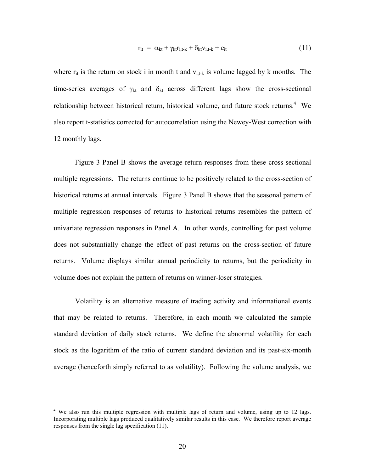$$
r_{it} = \alpha_{kt} + \gamma_{kt} r_{i,t-k} + \delta_{kt} v_{i,t-k} + e_{it}
$$
 (11)

where  $r_{it}$  is the return on stock i in month t and  $v_{i,t-k}$  is volume lagged by k months. The time-series averages of  $\gamma_{kt}$  and  $\delta_{kt}$  across different lags show the cross-sectional relationship between historical return, historical volume, and future stock returns.<sup>4</sup> We also report t-statistics corrected for autocorrelation using the Newey-West correction with 12 monthly lags.

Figure 3 Panel B shows the average return responses from these cross-sectional multiple regressions. The returns continue to be positively related to the cross-section of historical returns at annual intervals. Figure 3 Panel B shows that the seasonal pattern of multiple regression responses of returns to historical returns resembles the pattern of univariate regression responses in Panel A. In other words, controlling for past volume does not substantially change the effect of past returns on the cross-section of future returns. Volume displays similar annual periodicity to returns, but the periodicity in volume does not explain the pattern of returns on winner-loser strategies.

Volatility is an alternative measure of trading activity and informational events that may be related to returns. Therefore, in each month we calculated the sample standard deviation of daily stock returns. We define the abnormal volatility for each stock as the logarithm of the ratio of current standard deviation and its past-six-month average (henceforth simply referred to as volatility). Following the volume analysis, we

1

<sup>&</sup>lt;sup>4</sup> We also run this multiple regression with multiple lags of return and volume, using up to 12 lags. Incorporating multiple lags produced qualitatively similar results in this case. We therefore report average responses from the single lag specification (11).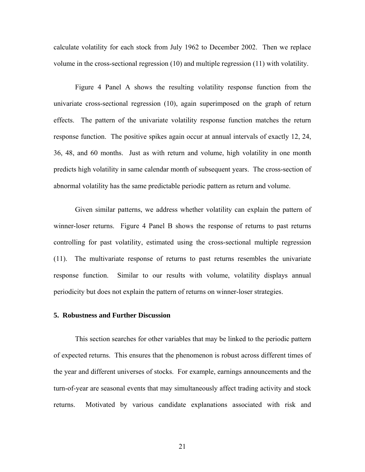calculate volatility for each stock from July 1962 to December 2002. Then we replace volume in the cross-sectional regression (10) and multiple regression (11) with volatility.

Figure 4 Panel A shows the resulting volatility response function from the univariate cross-sectional regression (10), again superimposed on the graph of return effects. The pattern of the univariate volatility response function matches the return response function. The positive spikes again occur at annual intervals of exactly 12, 24, 36, 48, and 60 months. Just as with return and volume, high volatility in one month predicts high volatility in same calendar month of subsequent years. The cross-section of abnormal volatility has the same predictable periodic pattern as return and volume.

Given similar patterns, we address whether volatility can explain the pattern of winner-loser returns. Figure 4 Panel B shows the response of returns to past returns controlling for past volatility, estimated using the cross-sectional multiple regression (11). The multivariate response of returns to past returns resembles the univariate response function. Similar to our results with volume, volatility displays annual periodicity but does not explain the pattern of returns on winner-loser strategies.

# **5. Robustness and Further Discussion**

 This section searches for other variables that may be linked to the periodic pattern of expected returns. This ensures that the phenomenon is robust across different times of the year and different universes of stocks. For example, earnings announcements and the turn-of-year are seasonal events that may simultaneously affect trading activity and stock returns. Motivated by various candidate explanations associated with risk and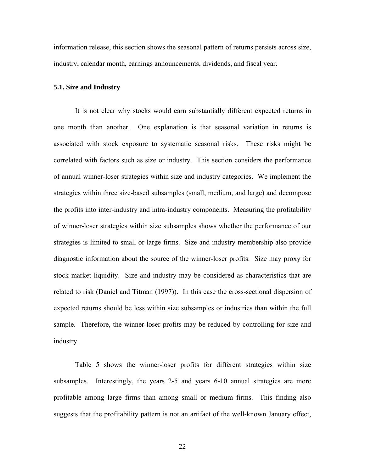information release, this section shows the seasonal pattern of returns persists across size, industry, calendar month, earnings announcements, dividends, and fiscal year.

# **5.1. Size and Industry**

 It is not clear why stocks would earn substantially different expected returns in one month than another. One explanation is that seasonal variation in returns is associated with stock exposure to systematic seasonal risks. These risks might be correlated with factors such as size or industry. This section considers the performance of annual winner-loser strategies within size and industry categories. We implement the strategies within three size-based subsamples (small, medium, and large) and decompose the profits into inter-industry and intra-industry components. Measuring the profitability of winner-loser strategies within size subsamples shows whether the performance of our strategies is limited to small or large firms. Size and industry membership also provide diagnostic information about the source of the winner-loser profits. Size may proxy for stock market liquidity. Size and industry may be considered as characteristics that are related to risk (Daniel and Titman (1997)). In this case the cross-sectional dispersion of expected returns should be less within size subsamples or industries than within the full sample. Therefore, the winner-loser profits may be reduced by controlling for size and industry.

 Table 5 shows the winner-loser profits for different strategies within size subsamples. Interestingly, the years 2-5 and years 6-10 annual strategies are more profitable among large firms than among small or medium firms. This finding also suggests that the profitability pattern is not an artifact of the well-known January effect,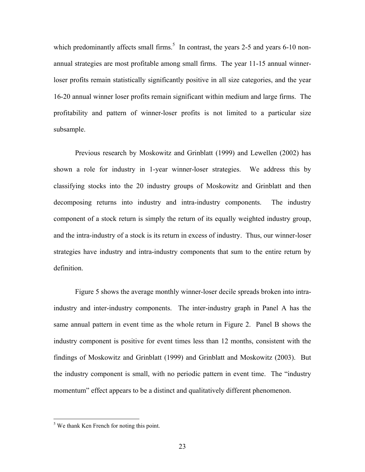which predominantly affects small firms.<sup>5</sup> In contrast, the years 2-5 and years 6-10 nonannual strategies are most profitable among small firms. The year 11-15 annual winnerloser profits remain statistically significantly positive in all size categories, and the year 16-20 annual winner loser profits remain significant within medium and large firms. The profitability and pattern of winner-loser profits is not limited to a particular size subsample.

 Previous research by Moskowitz and Grinblatt (1999) and Lewellen (2002) has shown a role for industry in 1-year winner-loser strategies. We address this by classifying stocks into the 20 industry groups of Moskowitz and Grinblatt and then decomposing returns into industry and intra-industry components. The industry component of a stock return is simply the return of its equally weighted industry group, and the intra-industry of a stock is its return in excess of industry. Thus, our winner-loser strategies have industry and intra-industry components that sum to the entire return by definition.

 Figure 5 shows the average monthly winner-loser decile spreads broken into intraindustry and inter-industry components. The inter-industry graph in Panel A has the same annual pattern in event time as the whole return in Figure 2. Panel B shows the industry component is positive for event times less than 12 months, consistent with the findings of Moskowitz and Grinblatt (1999) and Grinblatt and Moskowitz (2003). But the industry component is small, with no periodic pattern in event time. The "industry momentum" effect appears to be a distinct and qualitatively different phenomenon.

 $\overline{a}$ 

 $<sup>5</sup>$  We thank Ken French for noting this point.</sup>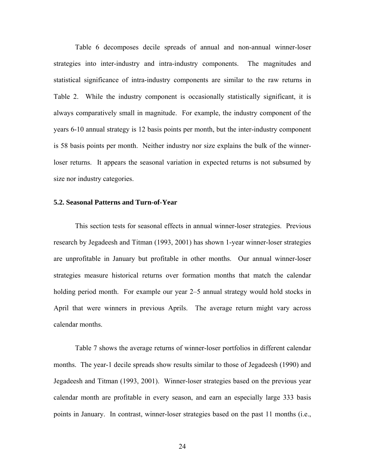Table 6 decomposes decile spreads of annual and non-annual winner-loser strategies into inter-industry and intra-industry components. The magnitudes and statistical significance of intra-industry components are similar to the raw returns in Table 2. While the industry component is occasionally statistically significant, it is always comparatively small in magnitude. For example, the industry component of the years 6-10 annual strategy is 12 basis points per month, but the inter-industry component is 58 basis points per month. Neither industry nor size explains the bulk of the winnerloser returns. It appears the seasonal variation in expected returns is not subsumed by size nor industry categories.

### **5.2. Seasonal Patterns and Turn-of-Year**

 This section tests for seasonal effects in annual winner-loser strategies. Previous research by Jegadeesh and Titman (1993, 2001) has shown 1-year winner-loser strategies are unprofitable in January but profitable in other months. Our annual winner-loser strategies measure historical returns over formation months that match the calendar holding period month. For example our year 2–5 annual strategy would hold stocks in April that were winners in previous Aprils. The average return might vary across calendar months.

 Table 7 shows the average returns of winner-loser portfolios in different calendar months. The year-1 decile spreads show results similar to those of Jegadeesh (1990) and Jegadeesh and Titman (1993, 2001). Winner-loser strategies based on the previous year calendar month are profitable in every season, and earn an especially large 333 basis points in January. In contrast, winner-loser strategies based on the past 11 months (i.e.,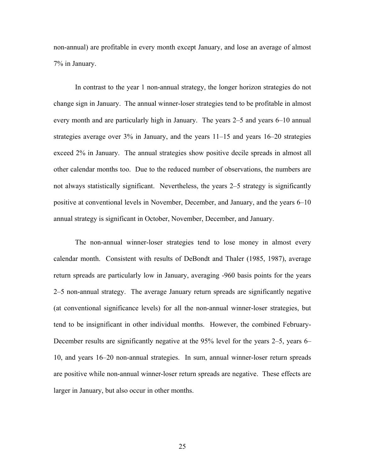non-annual) are profitable in every month except January, and lose an average of almost 7% in January.

 In contrast to the year 1 non-annual strategy, the longer horizon strategies do not change sign in January. The annual winner-loser strategies tend to be profitable in almost every month and are particularly high in January. The years 2–5 and years 6–10 annual strategies average over 3% in January, and the years 11–15 and years 16–20 strategies exceed 2% in January. The annual strategies show positive decile spreads in almost all other calendar months too. Due to the reduced number of observations, the numbers are not always statistically significant. Nevertheless, the years 2–5 strategy is significantly positive at conventional levels in November, December, and January, and the years 6–10 annual strategy is significant in October, November, December, and January.

 The non-annual winner-loser strategies tend to lose money in almost every calendar month. Consistent with results of DeBondt and Thaler (1985, 1987), average return spreads are particularly low in January, averaging -960 basis points for the years 2–5 non-annual strategy. The average January return spreads are significantly negative (at conventional significance levels) for all the non-annual winner-loser strategies, but tend to be insignificant in other individual months. However, the combined February-December results are significantly negative at the 95% level for the years 2–5, years 6– 10, and years 16–20 non-annual strategies. In sum, annual winner-loser return spreads are positive while non-annual winner-loser return spreads are negative. These effects are larger in January, but also occur in other months.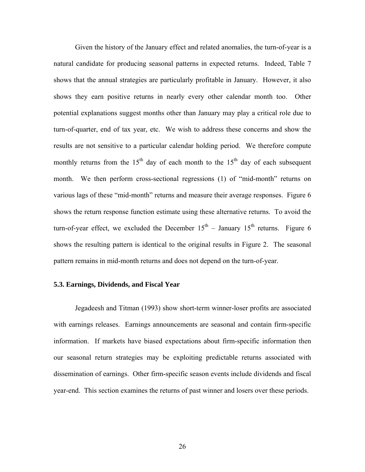Given the history of the January effect and related anomalies, the turn-of-year is a natural candidate for producing seasonal patterns in expected returns. Indeed, Table 7 shows that the annual strategies are particularly profitable in January. However, it also shows they earn positive returns in nearly every other calendar month too. Other potential explanations suggest months other than January may play a critical role due to turn-of-quarter, end of tax year, etc. We wish to address these concerns and show the results are not sensitive to a particular calendar holding period. We therefore compute monthly returns from the 15<sup>th</sup> day of each month to the 15<sup>th</sup> day of each subsequent month. We then perform cross-sectional regressions (1) of "mid-month" returns on various lags of these "mid-month" returns and measure their average responses. Figure 6 shows the return response function estimate using these alternative returns. To avoid the turn-of-year effect, we excluded the December  $15<sup>th</sup>$  – January  $15<sup>th</sup>$  returns. Figure 6 shows the resulting pattern is identical to the original results in Figure 2. The seasonal pattern remains in mid-month returns and does not depend on the turn-of-year.

### **5.3. Earnings, Dividends, and Fiscal Year**

 Jegadeesh and Titman (1993) show short-term winner-loser profits are associated with earnings releases. Earnings announcements are seasonal and contain firm-specific information. If markets have biased expectations about firm-specific information then our seasonal return strategies may be exploiting predictable returns associated with dissemination of earnings. Other firm-specific season events include dividends and fiscal year-end. This section examines the returns of past winner and losers over these periods.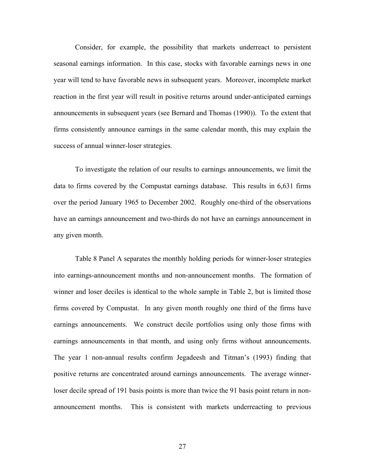Consider, for example, the possibility that markets underreact to persistent seasonal earnings information. In this case, stocks with favorable earnings news in one year will tend to have favorable news in subsequent years. Moreover, incomplete market reaction in the first year will result in positive returns around under-anticipated earnings announcements in subsequent years (see Bernard and Thomas (1990)). To the extent that firms consistently announce earnings in the same calendar month, this may explain the success of annual winner-loser strategies.

 To investigate the relation of our results to earnings announcements, we limit the data to firms covered by the Compustat earnings database. This results in 6,631 firms over the period January 1965 to December 2002. Roughly one-third of the observations have an earnings announcement and two-thirds do not have an earnings announcement in any given month.

 Table 8 Panel A separates the monthly holding periods for winner-loser strategies into earnings-announcement months and non-announcement months. The formation of winner and loser deciles is identical to the whole sample in Table 2, but is limited those firms covered by Compustat. In any given month roughly one third of the firms have earnings announcements. We construct decile portfolios using only those firms with earnings announcements in that month, and using only firms without announcements. The year 1 non-annual results confirm Jegadeesh and Titman's (1993) finding that positive returns are concentrated around earnings announcements. The average winnerloser decile spread of 191 basis points is more than twice the 91 basis point return in nonannouncement months. This is consistent with markets underreacting to previous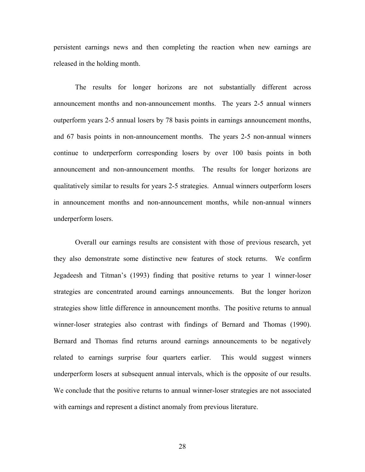persistent earnings news and then completing the reaction when new earnings are released in the holding month.

 The results for longer horizons are not substantially different across announcement months and non-announcement months. The years 2-5 annual winners outperform years 2-5 annual losers by 78 basis points in earnings announcement months, and 67 basis points in non-announcement months. The years 2-5 non-annual winners continue to underperform corresponding losers by over 100 basis points in both announcement and non-announcement months. The results for longer horizons are qualitatively similar to results for years 2-5 strategies. Annual winners outperform losers in announcement months and non-announcement months, while non-annual winners underperform losers.

 Overall our earnings results are consistent with those of previous research, yet they also demonstrate some distinctive new features of stock returns. We confirm Jegadeesh and Titman's (1993) finding that positive returns to year 1 winner-loser strategies are concentrated around earnings announcements. But the longer horizon strategies show little difference in announcement months. The positive returns to annual winner-loser strategies also contrast with findings of Bernard and Thomas (1990). Bernard and Thomas find returns around earnings announcements to be negatively related to earnings surprise four quarters earlier. This would suggest winners underperform losers at subsequent annual intervals, which is the opposite of our results. We conclude that the positive returns to annual winner-loser strategies are not associated with earnings and represent a distinct anomaly from previous literature.

28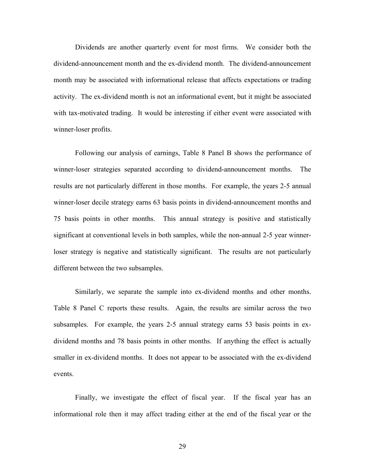Dividends are another quarterly event for most firms. We consider both the dividend-announcement month and the ex-dividend month. The dividend-announcement month may be associated with informational release that affects expectations or trading activity. The ex-dividend month is not an informational event, but it might be associated with tax-motivated trading. It would be interesting if either event were associated with winner-loser profits.

 Following our analysis of earnings, Table 8 Panel B shows the performance of winner-loser strategies separated according to dividend-announcement months. The results are not particularly different in those months. For example, the years 2-5 annual winner-loser decile strategy earns 63 basis points in dividend-announcement months and 75 basis points in other months. This annual strategy is positive and statistically significant at conventional levels in both samples, while the non-annual 2-5 year winnerloser strategy is negative and statistically significant. The results are not particularly different between the two subsamples.

 Similarly, we separate the sample into ex-dividend months and other months. Table 8 Panel C reports these results. Again, the results are similar across the two subsamples. For example, the years 2-5 annual strategy earns 53 basis points in exdividend months and 78 basis points in other months. If anything the effect is actually smaller in ex-dividend months. It does not appear to be associated with the ex-dividend events.

 Finally, we investigate the effect of fiscal year. If the fiscal year has an informational role then it may affect trading either at the end of the fiscal year or the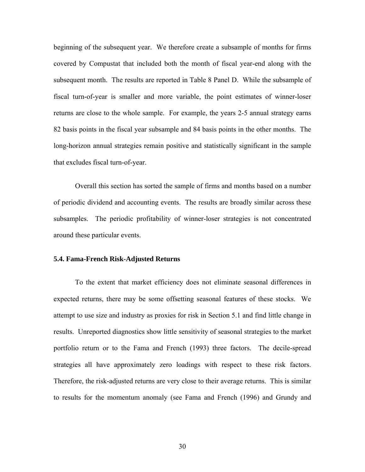beginning of the subsequent year. We therefore create a subsample of months for firms covered by Compustat that included both the month of fiscal year-end along with the subsequent month. The results are reported in Table 8 Panel D. While the subsample of fiscal turn-of-year is smaller and more variable, the point estimates of winner-loser returns are close to the whole sample. For example, the years 2-5 annual strategy earns 82 basis points in the fiscal year subsample and 84 basis points in the other months. The long-horizon annual strategies remain positive and statistically significant in the sample that excludes fiscal turn-of-year.

 Overall this section has sorted the sample of firms and months based on a number of periodic dividend and accounting events. The results are broadly similar across these subsamples. The periodic profitability of winner-loser strategies is not concentrated around these particular events.

# **5.4. Fama-French Risk-Adjusted Returns**

 To the extent that market efficiency does not eliminate seasonal differences in expected returns, there may be some offsetting seasonal features of these stocks. We attempt to use size and industry as proxies for risk in Section 5.1 and find little change in results. Unreported diagnostics show little sensitivity of seasonal strategies to the market portfolio return or to the Fama and French (1993) three factors. The decile-spread strategies all have approximately zero loadings with respect to these risk factors. Therefore, the risk-adjusted returns are very close to their average returns. This is similar to results for the momentum anomaly (see Fama and French (1996) and Grundy and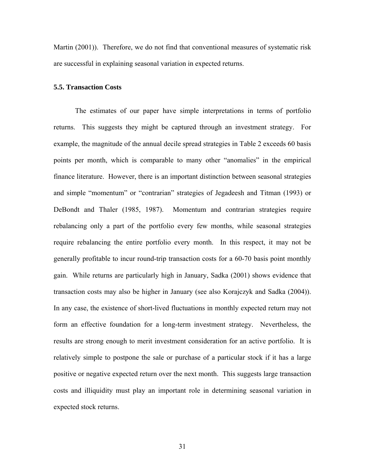Martin (2001)). Therefore, we do not find that conventional measures of systematic risk are successful in explaining seasonal variation in expected returns.

## **5.5. Transaction Costs**

 The estimates of our paper have simple interpretations in terms of portfolio returns. This suggests they might be captured through an investment strategy. For example, the magnitude of the annual decile spread strategies in Table 2 exceeds 60 basis points per month, which is comparable to many other "anomalies" in the empirical finance literature. However, there is an important distinction between seasonal strategies and simple "momentum" or "contrarian" strategies of Jegadeesh and Titman (1993) or DeBondt and Thaler (1985, 1987). Momentum and contrarian strategies require rebalancing only a part of the portfolio every few months, while seasonal strategies require rebalancing the entire portfolio every month. In this respect, it may not be generally profitable to incur round-trip transaction costs for a 60-70 basis point monthly gain. While returns are particularly high in January, Sadka (2001) shows evidence that transaction costs may also be higher in January (see also Korajczyk and Sadka (2004)). In any case, the existence of short-lived fluctuations in monthly expected return may not form an effective foundation for a long-term investment strategy. Nevertheless, the results are strong enough to merit investment consideration for an active portfolio. It is relatively simple to postpone the sale or purchase of a particular stock if it has a large positive or negative expected return over the next month. This suggests large transaction costs and illiquidity must play an important role in determining seasonal variation in expected stock returns.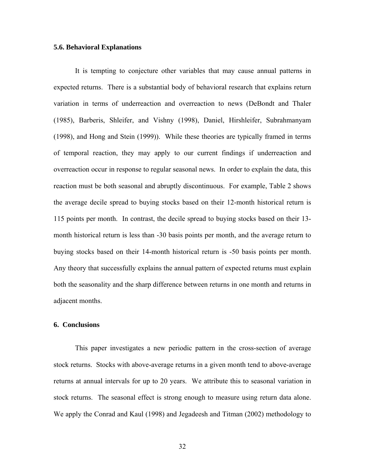# **5.6. Behavioral Explanations**

 It is tempting to conjecture other variables that may cause annual patterns in expected returns. There is a substantial body of behavioral research that explains return variation in terms of underreaction and overreaction to news (DeBondt and Thaler (1985), Barberis, Shleifer, and Vishny (1998), Daniel, Hirshleifer, Subrahmanyam (1998), and Hong and Stein (1999)). While these theories are typically framed in terms of temporal reaction, they may apply to our current findings if underreaction and overreaction occur in response to regular seasonal news. In order to explain the data, this reaction must be both seasonal and abruptly discontinuous. For example, Table 2 shows the average decile spread to buying stocks based on their 12-month historical return is 115 points per month. In contrast, the decile spread to buying stocks based on their 13 month historical return is less than -30 basis points per month, and the average return to buying stocks based on their 14-month historical return is -50 basis points per month. Any theory that successfully explains the annual pattern of expected returns must explain both the seasonality and the sharp difference between returns in one month and returns in adjacent months.

# **6. Conclusions**

 This paper investigates a new periodic pattern in the cross-section of average stock returns. Stocks with above-average returns in a given month tend to above-average returns at annual intervals for up to 20 years. We attribute this to seasonal variation in stock returns. The seasonal effect is strong enough to measure using return data alone. We apply the Conrad and Kaul (1998) and Jegadeesh and Titman (2002) methodology to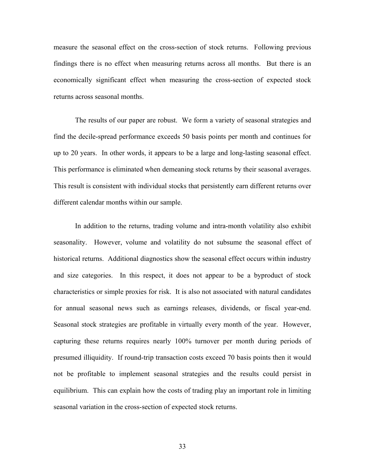measure the seasonal effect on the cross-section of stock returns. Following previous findings there is no effect when measuring returns across all months. But there is an economically significant effect when measuring the cross-section of expected stock returns across seasonal months.

 The results of our paper are robust. We form a variety of seasonal strategies and find the decile-spread performance exceeds 50 basis points per month and continues for up to 20 years. In other words, it appears to be a large and long-lasting seasonal effect. This performance is eliminated when demeaning stock returns by their seasonal averages. This result is consistent with individual stocks that persistently earn different returns over different calendar months within our sample.

 In addition to the returns, trading volume and intra-month volatility also exhibit seasonality. However, volume and volatility do not subsume the seasonal effect of historical returns. Additional diagnostics show the seasonal effect occurs within industry and size categories. In this respect, it does not appear to be a byproduct of stock characteristics or simple proxies for risk. It is also not associated with natural candidates for annual seasonal news such as earnings releases, dividends, or fiscal year-end. Seasonal stock strategies are profitable in virtually every month of the year. However, capturing these returns requires nearly 100% turnover per month during periods of presumed illiquidity. If round-trip transaction costs exceed 70 basis points then it would not be profitable to implement seasonal strategies and the results could persist in equilibrium. This can explain how the costs of trading play an important role in limiting seasonal variation in the cross-section of expected stock returns.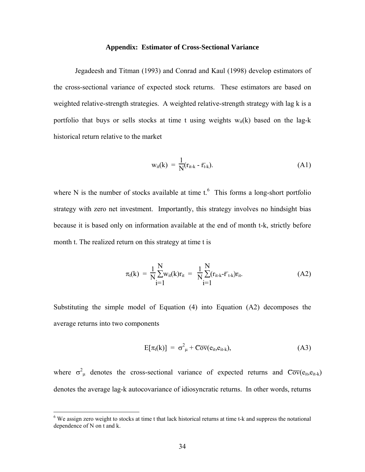### **Appendix: Estimator of Cross-Sectional Variance**

 Jegadeesh and Titman (1993) and Conrad and Kaul (1998) develop estimators of the cross-sectional variance of expected stock returns. These estimators are based on weighted relative-strength strategies. A weighted relative-strength strategy with lag k is a portfolio that buys or sells stocks at time t using weights  $w_{it}(k)$  based on the lag-k historical return relative to the market

$$
w_{it}(k) = \frac{1}{N}(r_{it-k} - \overline{r}_{t-k}).
$$
\n(A1)

where N is the number of stocks available at time  $t$ .<sup>6</sup> This forms a long-short portfolio strategy with zero net investment. Importantly, this strategy involves no hindsight bias because it is based only on information available at the end of month t-k, strictly before month t. The realized return on this strategy at time t is

$$
\pi_{t}(k) = \frac{1}{N} \sum_{i=1}^{N} w_{it}(k) r_{it} = \frac{1}{N} \sum_{i=1}^{N} (r_{it-k} - \overline{r}_{t-k}) r_{it}.
$$
\n(A2)

Substituting the simple model of Equation (4) into Equation (A2) decomposes the average returns into two components

$$
E[\pi_t(k)] = \sigma_{\mu}^2 + C\overline{ov}(e_{it}, e_{it-k}), \qquad (A3)
$$

where  $\sigma_{\mu}^2$  denotes the cross-sectional variance of expected returns and  $\overline{\text{Cov}}(e_{it},e_{it-k})$ denotes the average lag-k autocovariance of idiosyncratic returns. In other words, returns

1

<sup>&</sup>lt;sup>6</sup> We assign zero weight to stocks at time t that lack historical returns at time t-k and suppress the notational dependence of N on t and k.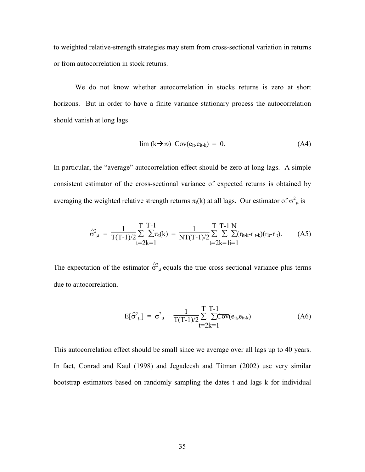to weighted relative-strength strategies may stem from cross-sectional variation in returns or from autocorrelation in stock returns.

 We do not know whether autocorrelation in stocks returns is zero at short horizons. But in order to have a finite variance stationary process the autocorrelation should vanish at long lags

$$
\lim (k \to \infty) \ \overline{Cov}(e_{it}, e_{it-k}) = 0. \tag{A4}
$$

In particular, the "average" autocorrelation effect should be zero at long lags. A simple consistent estimator of the cross-sectional variance of expected returns is obtained by averaging the weighted relative strength returns  $\pi_t(k)$  at all lags. Our estimator of  $\sigma^2_{\mu}$  is

$$
\hat{\sigma}_{\mu}^{2} = \frac{1}{T(T-1)/2} \sum_{t=2k=1}^{T} \sum_{k=1}^{T-1} \pi_{t}(k) = \frac{1}{NT(T-1)/2} \sum_{t=2k=1}^{T} \sum_{i=1}^{T-1} \sum_{k=1}^{N} (r_{it-k} - \bar{r}_{t-k})(r_{it} - \bar{r}_{t}). \tag{A5}
$$

The expectation of the estimator  $\hat{\sigma}_{\mu}^2$  equals the true cross sectional variance plus terms due to autocorrelation.

$$
E[\hat{\sigma}_{\mu}^{2}] = \sigma_{\mu}^{2} + \frac{1}{T(T-1)/2} \sum_{t=2k=1}^{T} \sum_{k=1}^{T-1} Cov(e_{it}, e_{it-k})
$$
(A6)

This autocorrelation effect should be small since we average over all lags up to 40 years. In fact, Conrad and Kaul (1998) and Jegadeesh and Titman (2002) use very similar bootstrap estimators based on randomly sampling the dates t and lags k for individual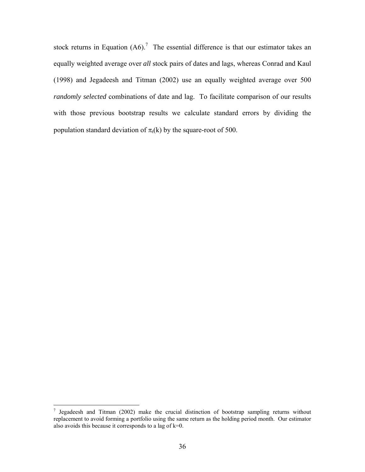stock returns in Equation  $(A6)$ .<sup>7</sup> The essential difference is that our estimator takes an equally weighted average over *all* stock pairs of dates and lags, whereas Conrad and Kaul (1998) and Jegadeesh and Titman (2002) use an equally weighted average over 500 *randomly selected* combinations of date and lag. To facilitate comparison of our results with those previous bootstrap results we calculate standard errors by dividing the population standard deviation of  $\pi_t(k)$  by the square-root of 500.

 $\overline{a}$ 

<sup>&</sup>lt;sup>7</sup> Jegadeesh and Titman (2002) make the crucial distinction of bootstrap sampling returns without replacement to avoid forming a portfolio using the same return as the holding period month. Our estimator also avoids this because it corresponds to a lag of k=0.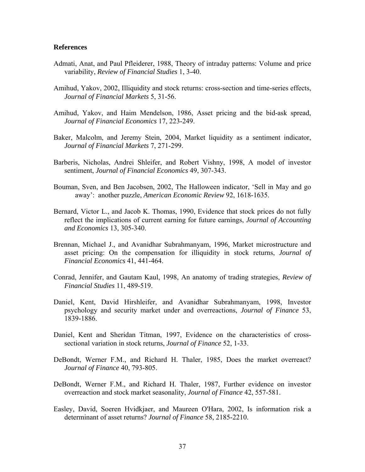# **References**

- Admati, Anat, and Paul Pfleiderer, 1988, Theory of intraday patterns: Volume and price variability, *Review of Financial Studies* 1, 3-40.
- Amihud, Yakov, 2002, Illiquidity and stock returns: cross-section and time-series effects, *Journal of Financial Markets* 5, 31-56.
- Amihud, Yakov, and Haim Mendelson, 1986, Asset pricing and the bid-ask spread, *Journal of Financial Economics* 17, 223-249.
- Baker, Malcolm, and Jeremy Stein, 2004, Market liquidity as a sentiment indicator, *Journal of Financial Markets* 7, 271-299.
- Barberis, Nicholas, Andrei Shleifer, and Robert Vishny, 1998, A model of investor sentiment, *Journal of Financial Economics* 49, 307-343.
- Bouman, Sven, and Ben Jacobsen, 2002, The Halloween indicator, 'Sell in May and go away': another puzzle, *American Economic Review* 92, 1618-1635.
- Bernard, Victor L., and Jacob K. Thomas, 1990, Evidence that stock prices do not fully reflect the implications of current earning for future earnings, *Journal of Accounting and Economics* 13, 305-340.
- Brennan, Michael J., and Avanidhar Subrahmanyam, 1996, Market microstructure and asset pricing: On the compensation for illiquidity in stock returns, *Journal of Financial Economics* 41, 441-464.
- Conrad, Jennifer, and Gautam Kaul, 1998, An anatomy of trading strategies, *Review of Financial Studies* 11, 489-519.
- Daniel, Kent, David Hirshleifer, and Avanidhar Subrahmanyam, 1998, Investor psychology and security market under and overreactions, *Journal of Finance* 53, 1839-1886.
- Daniel, Kent and Sheridan Titman, 1997, Evidence on the characteristics of crosssectional variation in stock returns, *Journal of Finance* 52, 1-33.
- DeBondt, Werner F.M., and Richard H. Thaler, 1985, Does the market overreact? *Journal of Finance* 40, 793-805.
- DeBondt, Werner F.M., and Richard H. Thaler, 1987, Further evidence on investor overreaction and stock market seasonality, *Journal of Finance* 42, 557-581.
- Easley, David, Soeren Hvidkjaer, and Maureen O'Hara, 2002, Is information risk a determinant of asset returns? *Journal of Finance* 58, 2185-2210.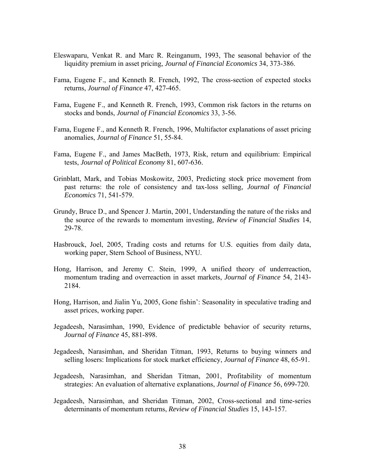- Eleswaparu, Venkat R. and Marc R. Reinganum, 1993, The seasonal behavior of the liquidity premium in asset pricing, *Journal of Financial Economics* 34, 373-386.
- Fama, Eugene F., and Kenneth R. French, 1992, The cross-section of expected stocks returns, *Journal of Finance* 47, 427-465.
- Fama, Eugene F., and Kenneth R. French, 1993, Common risk factors in the returns on stocks and bonds, *Journal of Financial Economics* 33, 3-56.
- Fama, Eugene F., and Kenneth R. French, 1996, Multifactor explanations of asset pricing anomalies, *Journal of Finance* 51, 55-84.
- Fama, Eugene F., and James MacBeth, 1973, Risk, return and equilibrium: Empirical tests, *Journal of Political Economy* 81, 607-636.
- Grinblatt, Mark, and Tobias Moskowitz, 2003, Predicting stock price movement from past returns: the role of consistency and tax-loss selling, *Journal of Financial Economics* 71, 541-579.
- Grundy, Bruce D., and Spencer J. Martin, 2001, Understanding the nature of the risks and the source of the rewards to momentum investing, *Review of Financial Studies* 14, 29-78.
- Hasbrouck, Joel, 2005, Trading costs and returns for U.S. equities from daily data, working paper, Stern School of Business, NYU.
- Hong, Harrison, and Jeremy C. Stein, 1999, A unified theory of underreaction, momentum trading and overreaction in asset markets, *Journal of Finance* 54, 2143- 2184.
- Hong, Harrison, and Jialin Yu, 2005, Gone fishin': Seasonality in speculative trading and asset prices, working paper.
- Jegadeesh, Narasimhan, 1990, Evidence of predictable behavior of security returns, *Journal of Finance* 45, 881-898.
- Jegadeesh, Narasimhan, and Sheridan Titman, 1993, Returns to buying winners and selling losers: Implications for stock market efficiency, *Journal of Finance* 48, 65-91.
- Jegadeesh, Narasimhan, and Sheridan Titman, 2001, Profitability of momentum strategies: An evaluation of alternative explanations, *Journal of Finance* 56, 699-720.
- Jegadeesh, Narasimhan, and Sheridan Titman, 2002, Cross-sectional and time-series determinants of momentum returns, *Review of Financial Studies* 15, 143-157.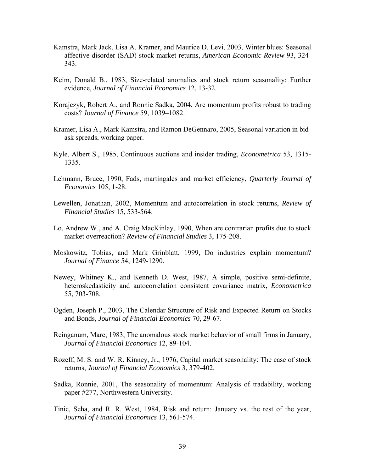- Kamstra, Mark Jack, Lisa A. Kramer, and Maurice D. Levi, 2003, Winter blues: Seasonal affective disorder (SAD) stock market returns, *American Economic Review* 93, 324- 343.
- Keim, Donald B., 1983, Size-related anomalies and stock return seasonality: Further evidence, *Journal of Financial Economics* 12, 13-32.
- Korajczyk, Robert A., and Ronnie Sadka, 2004, Are momentum profits robust to trading costs? *Journal of Finance* 59, 1039–1082.
- Kramer, Lisa A., Mark Kamstra, and Ramon DeGennaro, 2005, Seasonal variation in bidask spreads, working paper.
- Kyle, Albert S., 1985, Continuous auctions and insider trading, *Econometrica* 53, 1315- 1335.
- Lehmann, Bruce, 1990, Fads, martingales and market efficiency, *Quarterly Journal of Economics* 105, 1-28.
- Lewellen, Jonathan, 2002, Momentum and autocorrelation in stock returns, *Review of Financial Studies* 15, 533-564.
- Lo, Andrew W., and A. Craig MacKinlay, 1990, When are contrarian profits due to stock market overreaction? *Review of Financial Studies* 3, 175-208.
- Moskowitz, Tobias, and Mark Grinblatt, 1999, Do industries explain momentum? *Journal of Finance* 54, 1249-1290.
- Newey, Whitney K., and Kenneth D. West, 1987, A simple, positive semi-definite, heteroskedasticity and autocorrelation consistent covariance matrix, *Econometrica* 55, 703-708.
- Ogden, Joseph P., 2003, The Calendar Structure of Risk and Expected Return on Stocks and Bonds, *Journal of Financial Economics* 70, 29-67.
- Reinganum, Marc, 1983, The anomalous stock market behavior of small firms in January, *Journal of Financial Economics* 12, 89-104.
- Rozeff, M. S. and W. R. Kinney, Jr., 1976, Capital market seasonality: The case of stock returns, *Journal of Financial Economics* 3, 379-402.
- Sadka, Ronnie, 2001, The seasonality of momentum: Analysis of tradability, working paper #277, Northwestern University.
- Tinic, Seha, and R. R. West, 1984, Risk and return: January vs. the rest of the year, *Journal of Financial Economics* 13, 561-574.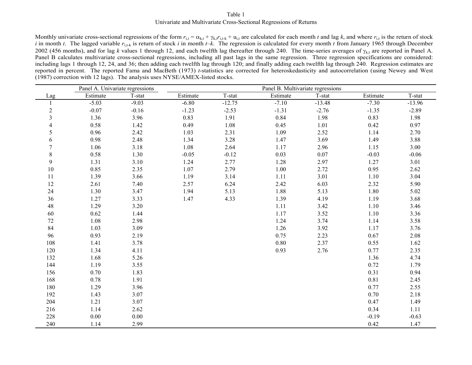#### Table 1Univariate and Multivariate Cross-Sectional Regressions of Returns

Monthly univariate cross-sectional regressions of the form  $r_{i,t} = \alpha_{k,t} + \gamma_{k,t} r_{i,t+k} + u_{i,t}$  are calculated for each month *t* and lag *k*, and where  $r_{i,t}$  is the return of stock *i* in month *t*. The lagged variable  $r_{i,t-k}$  is return of stock *i* in month *t–k*. The regression is calculated for every month *t* from January 1965 through December 2002 (456 months), and for lag k values 1 through 12, and each twelfth lag thereafter through 240. The time-series averages of  $\gamma_{k,t}$  are reported in Panel A. Panel B calculates multivariate cross-sectional regressions, including all past lags in the same regression. Three regression specifications are considered: including lags 1 through 12, 24, and 36; then adding each twelfth lag through 120; and finally adding each twelfth lag through 240. Regression estimates are reported in percent. The reported Fama and MacBeth (1973) *t*-statistics are corrected for heteroskedasticity and autocorrelation (using Newey and West (1987) correction with 12 lags). The analysis uses NYSE/AMEX-listed stocks.

|                | Panel A. Univariate regressions |         | Panel B. Multivariate regressions |          |          |          |          |          |  |
|----------------|---------------------------------|---------|-----------------------------------|----------|----------|----------|----------|----------|--|
| Lag            | Estimate                        | T-stat  | Estimate                          | T-stat   | Estimate | T-stat   | Estimate | T-stat   |  |
|                | $-5.03$                         | $-9.03$ | $-6.80$                           | $-12.75$ | $-7.10$  | $-13.48$ | $-7.30$  | $-13.96$ |  |
| $\overline{c}$ | $-0.07$                         | $-0.16$ | $-1.23$                           | $-2.53$  | $-1.31$  | $-2.76$  | $-1.35$  | $-2.89$  |  |
| $\overline{3}$ | 1.36                            | 3.96    | 0.83                              | 1.91     | 0.84     | 1.98     | 0.83     | 1.98     |  |
| 4              | 0.58                            | 1.42    | 0.49                              | 1.08     | 0.45     | 1.01     | 0.42     | 0.97     |  |
| 5              | 0.96                            | 2.42    | 1.03                              | 2.31     | 1.09     | 2.52     | 1.14     | 2.70     |  |
| 6              | 0.98                            | 2.48    | 1.34                              | 3.28     | 1.47     | 3.69     | 1.49     | 3.88     |  |
| 7              | 1.06                            | 3.18    | 1.08                              | 2.64     | 1.17     | 2.96     | 1.15     | 3.00     |  |
| 8              | 0.58                            | 1.30    | $-0.05$                           | $-0.12$  | 0.03     | 0.07     | $-0.03$  | $-0.06$  |  |
| 9              | 1.31                            | 3.10    | 1.24                              | 2.77     | 1.28     | 2.97     | 1.27     | 3.01     |  |
| $10\,$         | 0.85                            | 2.35    | 1.07                              | 2.79     | 1.00     | 2.72     | 0.95     | 2.62     |  |
| 11             | 1.39                            | 3.66    | 1.19                              | 3.14     | 1.11     | 3.01     | 1.10     | 3.04     |  |
| 12             | 2.61                            | 7.40    | 2.57                              | 6.24     | 2.42     | 6.03     | 2.32     | 5.90     |  |
| 24             | 1.30                            | 3.47    | 1.94                              | 5.13     | 1.88     | 5.13     | 1.80     | 5.02     |  |
| 36             | 1.27                            | 3.33    | 1.47                              | 4.33     | 1.39     | 4.19     | 1.19     | 3.68     |  |
| 48             | 1.29                            | 3.20    |                                   |          | 1.11     | 3.42     | 1.10     | 3.46     |  |
| 60             | 0.62                            | 1.44    |                                   |          | 1.17     | 3.52     | 1.10     | 3.36     |  |
| 72             | 1.08                            | 2.98    |                                   |          | 1.24     | 3.74     | 1.14     | 3.58     |  |
| 84             | 1.03                            | 3.09    |                                   |          | 1.26     | 3.92     | 1.17     | 3.76     |  |
| 96             | 0.93                            | 2.19    |                                   |          | 0.75     | 2.23     | 0.67     | 2.08     |  |
| 108            | 1.41                            | 3.78    |                                   |          | 0.80     | 2.37     | 0.55     | 1.62     |  |
| 120            | 1.34                            | 4.11    |                                   |          | 0.93     | 2.76     | 0.77     | 2.35     |  |
| 132            | 1.68                            | 5.26    |                                   |          |          |          | 1.36     | 4.74     |  |
| 144            | 1.19                            | 3.55    |                                   |          |          |          | 0.72     | 1.79     |  |
| 156            | 0.70                            | 1.83    |                                   |          |          |          | 0.31     | 0.94     |  |
| 168            | 0.78                            | 1.91    |                                   |          |          |          | 0.81     | 2.45     |  |
| 180            | 1.29                            | 3.96    |                                   |          |          |          | 0.77     | 2.55     |  |
| 192            | 1.43                            | 3.07    |                                   |          |          |          | 0.70     | 2.18     |  |
| 204            | 1.21                            | 3.07    |                                   |          |          |          | 0.47     | 1.49     |  |
| 216            | 1.14                            | 2.62    |                                   |          |          |          | 0.34     | 1.11     |  |
| 228            | 0.00                            | 0.00    |                                   |          |          |          | $-0.19$  | $-0.63$  |  |
| 240            | 1.14                            | 2.99    |                                   |          |          |          | 0.42     | 1.47     |  |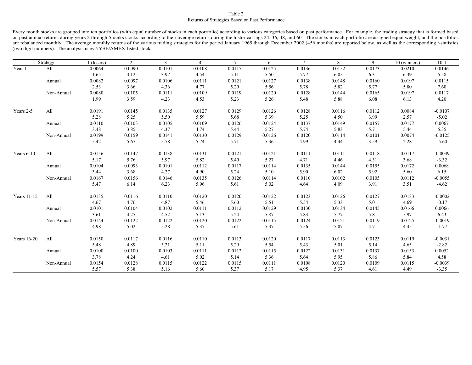#### Table 2 Returns of Strategies Based on Past Performance

Every month stocks are grouped into ten portfolios (with equal number of stocks in each portfolio) according to various categories based on past performance. For example, the trading strategy that is formed based on past annual returns during years 2 through 5 ranks stocks according to their average returns during the historical lags 24, 36, 48, and 60. The stocks in each portfolio are assigned equal weight, and the portfolios are rebalanced monthly. The average monthly returns of the various trading strategies for the period January 1965 through December 2002 (456 months) are reported below, as well as the corresponding *t*-statistics (two digit numbers). The analysis uses NYSE/AMEX-listed stocks.

|               | Strategy   | $1$ (losers) | $\overline{2}$ | 3      | $\overline{4}$ | 5      | 6      | $\overline{7}$ | 8      | 9      | 10 (winners) | $10-1$    |
|---------------|------------|--------------|----------------|--------|----------------|--------|--------|----------------|--------|--------|--------------|-----------|
| Year 1        | All        | 0.0064       | 0.0090         | 0.0101 | 0.0108         | 0.0117 | 0.0125 | 0.0136         | 0.0152 | 0.0173 | 0.0210       | 0.0146    |
|               |            | 1.65         | 3.12           | 3.97   | 4.54           | 5.11   | 5.50   | 5.77           | 6.05   | 6.31   | 6.39         | 5.58      |
|               | Annual     | 0.0082       | 0.0097         | 0.0106 | 0.0111         | 0.0121 | 0.0127 | 0.0138         | 0.0148 | 0.0160 | 0.0197       | 0.0115    |
|               |            | 2.53         | 3.66           | 4.36   | 4.77           | 5.20   | 5.56   | 5.78           | 5.82   | 5.77   | 5.80         | 7.60      |
|               | Non-Annual | 0.0080       | 0.0105         | 0.0111 | 0.0109         | 0.0119 | 0.0120 | 0.0128         | 0.0144 | 0.0165 | 0.0197       | 0.0117    |
|               |            | 1.99         | 3.59           | 4.23   | 4.53           | 5.23   | 5.26   | 5.48           | 5.88   | 6.08   | 6.13         | 4.20      |
| Years 2-5     | All        | 0.0191       | 0.0145         | 0.0135 | 0.0127         | 0.0129 | 0.0126 | 0.0128         | 0.0116 | 0.0112 | 0.0084       | $-0.0107$ |
|               |            | 5.28         | 5.25           | 5.50   | 5.59           | 5.68   | 5.39   | 5.25           | 4.50   | 3.99   | 2.57         | $-5.02$   |
|               | Annual     | 0.0110       | 0.0103         | 0.0105 | 0.0109         | 0.0126 | 0.0124 | 0.0137         | 0.0149 | 0.0157 | 0.0177       | 0.0067    |
|               |            | 3.48         | 3.85           | 4.37   | 4.74           | 5.44   | 5.27   | 5.74           | 5.83   | 5.71   | 5.44         | 5.35      |
|               | Non-Annual | 0.0199       | 0.0159         | 0.0141 | 0.0130         | 0.0129 | 0.0126 | 0.0120         | 0.0114 | 0.0101 | 0.0074       | $-0.0125$ |
|               |            | 5.42         | 5.67           | 5.78   | 5.74           | 5.71   | 5.36   | 4.99           | 4.44   | 3.59   | 2.28         | $-5.60$   |
| Years 6-10    | All        | 0.0156       | 0.0147         | 0.0138 | 0.0131         | 0.0121 | 0.0121 | 0.0111         | 0.0111 | 0.0118 | 0.0117       | $-0.0039$ |
|               |            | 5.17         | 5.76           | 5.97   | 5.82           | 5.40   | 5.27   | 4.71           | 4.46   | 4.31   | 3.68         | $-3.32$   |
|               | Annual     | 0.0104       | 0.0093         | 0.0101 | 0.0112         | 0.0117 | 0.0114 | 0.0135         | 0.0144 | 0.0155 | 0.0172       | 0.0068    |
|               |            | 3.44         | 3.68           | 4.27   | 4.90           | 5.24   | 5.10   | 5.90           | 6.02   | 5.92   | 5.60         | 6.15      |
|               | Non-Annual | 0.0167       | 0.0156         | 0.0146 | 0.0135         | 0.0126 | 0.0114 | 0.0110         | 0.0102 | 0.0105 | 0.0112       | $-0.0055$ |
|               |            | 5.47         | 6.14           | 6.23   | 5.96           | 5.61   | 5.02   | 4.64           | 4.09   | 3.91   | 3.51         | $-4.62$   |
| Years 11-15   | All        | 0.0135       | 0.0116         | 0.0110 | 0.0120         | 0.0120 | 0.0122 | 0.0123         | 0.0126 | 0.0127 | 0.0133       | $-0.0002$ |
|               |            | 4.67         | 4.76           | 4.87   | 5.46           | 5.60   | 5.51   | 5.54           | 5.33   | 5.01   | 4.69         | $-0.17$   |
|               | Annual     | 0.0101       | 0.0104         | 0.0102 | 0.0111         | 0.0112 | 0.0129 | 0.0130         | 0.0134 | 0.0145 | 0.0166       | 0.0066    |
|               |            | 3.61         | 4.25           | 4.52   | 5.13           | 5.24   | 5.87   | 5.83           | 5.77   | 5.81   | 5.97         | 6.43      |
|               | Non-Annual | 0.0144       | 0.0122         | 0.0122 | 0.0120         | 0.0122 | 0.0115 | 0.0124         | 0.0121 | 0.0119 | 0.0125       | $-0.0019$ |
|               |            | 4.98         | 5.02           | 5.28   | 5.37           | 5.61   | 5.37   | 5.56           | 5.07   | 4.71   | 4.45         | $-1.77$   |
| Years $16-20$ | All        | 0.0150       | 0.0117         | 0.0116 | 0.0110         | 0.0113 | 0.0120 | 0.0117         | 0.0113 | 0.0123 | 0.0119       | $-0.0031$ |
|               |            | 5.48         | 4.89           | 5.21   | 5.11           | 5.29   | 5.54   | 5.43           | 5.01   | 5.14   | 4.65         | $-2.82$   |
|               | Annual     | 0.0100       | 0.0100         | 0.0103 | 0.0111         | 0.0112 | 0.0115 | 0.0122         | 0.0131 | 0.0137 | 0.0153       | 0.0052    |
|               |            | 3.78         | 4.24           | 4.61   | 5.02           | 5.14   | 5.36   | 5.64           | 5.95   | 5.86   | 5.84         | 4.58      |
|               | Non-Annual | 0.0154       | 0.0128         | 0.0115 | 0.0122         | 0.0115 | 0.0111 | 0.0108         | 0.0120 | 0.0109 | 0.0115       | $-0.0039$ |
|               |            | 5.57         | 5.38           | 5.16   | 5.60           | 5.37   | 5.17   | 4.95           | 5.37   | 4.61   | 4.49         | $-3.35$   |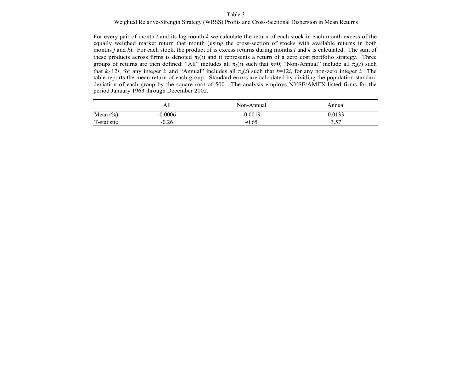#### Table 3

### Weighted Relative-Strength Strategy (WRSS) Profits and Cross-Sectional Dispersion in Mean Returns

For every pair of month *t* and its lag month *k* we calculate the return of each stock in each month excess of the equally weighed market return that month (using the cross-section of stocks with available returns in both months *j* and *k*). For each stock, the product of is excess returns during months *t* and *k* is calculated. The sum of these products across firms is denoted  $\pi_k(t)$  and it represents a return of a zero cost portfolio strategy. Three groups of returns are then defined: "All" includes all  $\pi_k(t)$  such that  $k\neq 0$ ; "Non-Annual" include all  $\pi_k(t)$  such that  $k \neq 12i$ , for any integer *i*; and "Annual" includes all  $\pi_k(t)$  such that  $k=12i$ , for any non-zero integer *i*. The table reports the mean return of each group. Standard errors are calculated by dividing the population standard deviation of each group by the square root of 500. The analysis employs NYSE/AMEX-listed firms for the period January 1963 through December 2002.

|              | AП        | Non-Annual | Annual |
|--------------|-----------|------------|--------|
| Mean $(\% )$ | $-0.0006$ | $-0.0019$  | 0.0133 |
| T-statistic  | $-0.26$   | $-0.65$    | 3.57   |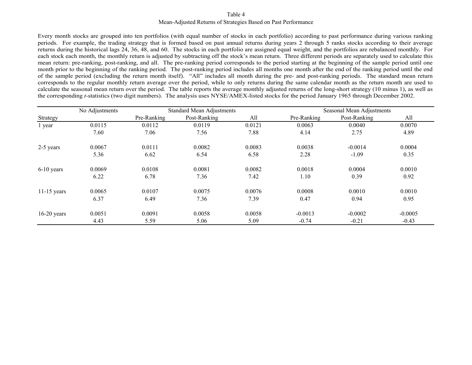### Table 4Mean-Adjusted Returns of Strategies Based on Past Performance

Every month stocks are grouped into ten portfolios (with equal number of stocks in each portfolio) according to past performance during various ranking periods. For example, the trading strategy that is formed based on past annual returns during years 2 through 5 ranks stocks according to their average returns during the historical lags 24, 36, 48, and 60. The stocks in each portfolio are assigned equal weight, and the portfolios are rebalanced monthly. For each stock each month, the monthly return is adjusted by subtracting off the stock's mean return. Three different periods are separately used to calculate this mean return: pre-ranking, post-ranking, and all. The pre-ranking period corresponds to the period starting at the beginning of the sample period until one month prior to the beginning of the ranking period. The post-ranking period includes all months one month after the end of the ranking period until the end of the sample period (excluding the return month itself). "All" includes all month during the pre- and post-ranking periods. The standard mean return corresponds to the regular monthly return average over the period, while to only returns during the same calendar month as the return month are used to calculate the seasonal mean return over the period. The table reports the average monthly adjusted returns of the long-short strategy (10 minus 1), as well as the corresponding *t*-statistics (two digit numbers). The analysis uses NYSE/AMEX-listed stocks for the period January 1965 through December 2002.

|               | No Adjustments |             | <b>Standard Mean Adjustments</b> |        |             | Seasonal Mean Adjustments |           |  |  |  |
|---------------|----------------|-------------|----------------------------------|--------|-------------|---------------------------|-----------|--|--|--|
| Strategy      |                | Pre-Ranking | Post-Ranking                     | All    | Pre-Ranking | Post-Ranking              | All       |  |  |  |
| 1 year        | 0.0115         | 0.0112      | 0.0119                           | 0.0121 | 0.0063      | 0.0040                    | 0.0070    |  |  |  |
|               | 7.60           | 7.06        | 7.56                             | 7.88   | 4.14        | 2.75                      | 4.89      |  |  |  |
| 2-5 years     | 0.0067         | 0.0111      | 0.0082                           | 0.0083 | 0.0038      | $-0.0014$                 | 0.0004    |  |  |  |
|               | 5.36           | 6.62        | 6.54                             | 6.58   | 2.28        | $-1.09$                   | 0.35      |  |  |  |
| $6-10$ years  | 0.0069         | 0.0108      | 0.0081                           | 0.0082 | 0.0018      | 0.0004                    | 0.0010    |  |  |  |
|               | 6.22           | 6.78        | 7.36                             | 7.42   | 1.10        | 0.39                      | 0.92      |  |  |  |
| $11-15$ years | 0.0065         | 0.0107      | 0.0075                           | 0.0076 | 0.0008      | 0.0010                    | 0.0010    |  |  |  |
|               | 6.37           | 6.49        | 7.36                             | 7.39   | 0.47        | 0.94                      | 0.95      |  |  |  |
| $16-20$ years | 0.0051         | 0.0091      | 0.0058                           | 0.0058 | $-0.0013$   | $-0.0002$                 | $-0.0005$ |  |  |  |
|               | 4.43           | 5.59        | 5.06                             | 5.09   | $-0.74$     | $-0.21$                   | $-0.43$   |  |  |  |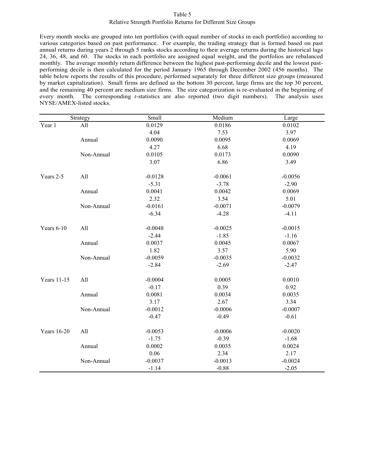#### Table 5

#### Relative Strength Portfolio Returns for Different Size Groups

Every month stocks are grouped into ten portfolios (with equal number of stocks in each portfolio) according to various categories based on past performance. For example, the trading strategy that is formed based on past annual returns during years 2 through 5 ranks stocks according to their average returns during the historical lags 24, 36, 48, and 60. The stocks in each portfolio are assigned equal weight, and the portfolios are rebalanced monthly. The average monthly return difference between the highest past-performing decile and the lowest pastperforming decile is then calculated for the period January 1965 through December 2002 (456 months). The table below reports the results of this procedure, performed separately for three different size groups (measured by market capitalization). Small firms are defined as the bottom 30 percent, large firms are the top 30 percent, and the remaining 40 percent are medium size firms. The size categorization is re-evaluated in the beginning of every month. The corresponding *t*-statistics are also reported (two digit numbers). The analysis uses NYSE/AMEX-listed stocks.

|                    | Strategy   | Small     | Medium    | Large     |  |  |
|--------------------|------------|-----------|-----------|-----------|--|--|
| Year 1             | All        | 0.0129    | 0.0186    | 0.0102    |  |  |
|                    |            | 4.04      | 7.53      | 3.97      |  |  |
|                    | Annual     | 0.0090    | 0.0095    | 0.0069    |  |  |
|                    |            | 4.27      | 6.68      | 4.19      |  |  |
|                    | Non-Annual | 0.0105    | 0.0173    | 0.0090    |  |  |
|                    |            | 3.07      | 6.86      | 3.49      |  |  |
| Years 2-5          | All        | $-0.0128$ | $-0.0061$ | $-0.0056$ |  |  |
|                    |            | $-5.31$   | $-3.78$   | $-2.90$   |  |  |
|                    | Annual     | 0.0041    | 0.0042    | 0.0069    |  |  |
|                    |            | 2.32      | 3.54      | 5.01      |  |  |
|                    | Non-Annual | $-0.0161$ | $-0.0071$ | $-0.0079$ |  |  |
|                    |            | $-6.34$   | $-4.28$   | $-4.11$   |  |  |
| Years $6-10$       | All        | $-0.0048$ | $-0.0025$ | $-0.0015$ |  |  |
|                    |            | $-2.44$   | $-1.85$   | $-1.16$   |  |  |
|                    | Annual     | 0.0037    | 0.0045    | 0.0067    |  |  |
|                    |            | 1.82      | 3.57      | 5.90      |  |  |
|                    | Non-Annual | $-0.0059$ | $-0.0035$ | $-0.0032$ |  |  |
|                    |            | $-2.84$   | $-2.69$   | $-2.47$   |  |  |
| <b>Years 11-15</b> | All        | $-0.0004$ | 0.0005    | 0.0010    |  |  |
|                    |            | $-0.17$   | 0.39      | 0.92      |  |  |
|                    | Annual     | 0.0081    | 0.0034    | 0.0035    |  |  |
|                    |            | 3.17      | 2.67      | 3.34      |  |  |
|                    | Non-Annual | $-0.0012$ | $-0.0006$ | $-0.0007$ |  |  |
|                    |            | $-0.47$   | $-0.49$   | $-0.61$   |  |  |
| Years 16-20        | All        | $-0.0053$ | $-0.0006$ | $-0.0020$ |  |  |
|                    |            | $-1.75$   | $-0.39$   | $-1.68$   |  |  |
|                    | Annual     | 0.0002    | 0.0035    | 0.0024    |  |  |
|                    |            | 0.06      | 2.34      | 2.17      |  |  |
|                    | Non-Annual | $-0.0037$ | $-0.0013$ | $-0.0024$ |  |  |
|                    |            | $-1.14$   | $-0.88$   | $-2.05$   |  |  |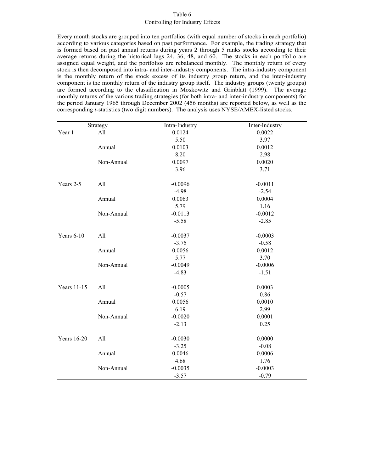### Table 6 Controlling for Industry Effects

Every month stocks are grouped into ten portfolios (with equal number of stocks in each portfolio) according to various categories based on past performance. For example, the trading strategy that is formed based on past annual returns during years 2 through 5 ranks stocks according to their average returns during the historical lags 24, 36, 48, and 60. The stocks in each portfolio are assigned equal weight, and the portfolios are rebalanced monthly. The monthly return of every stock is then decomposed into intra- and inter-industry components. The intra-industry component is the monthly return of the stock excess of its industry group return, and the inter-industry component is the monthly return of the industry group itself. The industry groups (twenty groups) are formed according to the classification in Moskowitz and Grinblatt (1999). The average monthly returns of the various trading strategies (for both intra- and inter-industry components) for the period January 1965 through December 2002 (456 months) are reported below, as well as the corresponding *t*-statistics (two digit numbers). The analysis uses NYSE/AMEX-listed stocks.

|                    | Strategy   | Intra-Industry | Inter-Industry |  |  |
|--------------------|------------|----------------|----------------|--|--|
| Year 1             | All        | 0.0124         | 0.0022         |  |  |
|                    |            | 5.50           | 3.97           |  |  |
|                    | Annual     | 0.0103         | 0.0012         |  |  |
|                    |            | 8.20           | 2.98           |  |  |
|                    | Non-Annual | 0.0097         | 0.0020         |  |  |
|                    |            | 3.96           | 3.71           |  |  |
| Years 2-5          | All        | $-0.0096$      | $-0.0011$      |  |  |
|                    |            | $-4.98$        | $-2.54$        |  |  |
|                    | Annual     | 0.0063         | 0.0004         |  |  |
|                    |            | 5.79           | 1.16           |  |  |
|                    | Non-Annual | $-0.0113$      | $-0.0012$      |  |  |
|                    |            | $-5.58$        | $-2.85$        |  |  |
| Years 6-10         | All        | $-0.0037$      | $-0.0003$      |  |  |
|                    |            | $-3.75$        | $-0.58$        |  |  |
|                    | Annual     | 0.0056         | 0.0012         |  |  |
|                    |            | 5.77           | 3.70           |  |  |
|                    | Non-Annual | $-0.0049$      | $-0.0006$      |  |  |
|                    |            | $-4.83$        | $-1.51$        |  |  |
| Years 11-15        | All        | $-0.0005$      | 0.0003         |  |  |
|                    |            | $-0.57$        | 0.86           |  |  |
|                    | Annual     | 0.0056         | 0.0010         |  |  |
|                    |            | 6.19           | 2.99           |  |  |
|                    | Non-Annual | $-0.0020$      | 0.0001         |  |  |
|                    |            | $-2.13$        | 0.25           |  |  |
| <b>Years</b> 16-20 | All        | $-0.0030$      | 0.0000         |  |  |
|                    |            | $-3.25$        | $-0.08$        |  |  |
|                    | Annual     | 0.0046         | 0.0006         |  |  |
|                    |            | 4.68           | 1.76           |  |  |
|                    | Non-Annual | $-0.0035$      | $-0.0003$      |  |  |
|                    |            | $-3.57$        | $-0.79$        |  |  |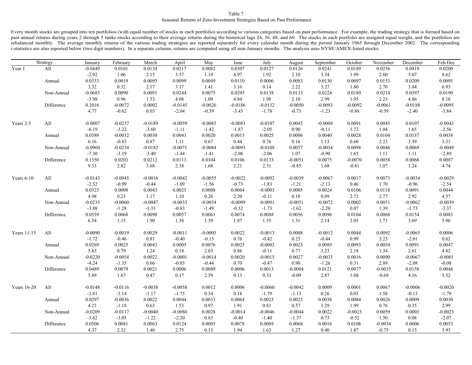#### Table 7 Seasonal Returns of Zero-Investment Strategies Based on Past Performance

Every month stocks are grouped into ten portfolios (with equal number of stocks in each portfolio) according to various categories based on past performance. For example, the trading strategy that is formed based on past annual returns during years 2 through 5 ranks stocks according to their average returns during the historical lags 24, 36, 48, and 60. The stocks in each portfolio are assigned equal weight, and the portfolios are rebalanced monthly. The average monthly returns of the various trading strategies are reported separately for every calendar month during the period January 1965 through December 2002. The corresponding *t*-statistics are also reported below (two digit numbers). In a separate column, returns are computed using all non-January months. The analysis uses NYSE/AMEX-listed stocks.

|             | Strategy   | January   | February  | March     | April     | May       | June      | July      | August    | September | October   | November  | December  | Feb-Dec   |
|-------------|------------|-----------|-----------|-----------|-----------|-----------|-----------|-----------|-----------|-----------|-----------|-----------|-----------|-----------|
| Year 1      | All        | $-0.0449$ | 0.0101    | 0.0134    | 0.0217    | 0.0082    | 0.0307    | 0.0127    | 0.0126    | 0.0241    | 0.0189    | 0.0256    | 0.0419    | 0.0200    |
|             |            | $-2.92$   | 1.06      | 2.15      | 3.57      | 1.19      | 4.97      | 1.92      | 2.10      | 3.34      | 1.99      | 2.60      | 5.07      | 8.62      |
|             | Annual     | 0.0333    | 0.0019    | 0.0093    | 0.0099    | 0.0049    | 0.0110    | 0.0006    | 0.0083    | 0.0130    | 0.0097    | 0.0153    | 0.0209    | 0.0095    |
|             |            | 3.52      | 0.32      | 2.17      | 3.17      | 1.41      | 3.16      | 0.14      | 2.22      | 3.27      | 1.80      | 2.70      | 3.84      | 6.93      |
|             | Non-Annual | $-0.0683$ | 0.0090    | 0.0091    | 0.0244    | 0.0075    | 0.0295    | 0.0138    | 0.0133    | 0.0224    | 0.0189    | 0.0214    | 0.0397    | 0.0190    |
|             |            | $-3.98$   | 0.96      | 1.53      | 4.08      | 1.09      | 4.84      | 1.98      | 2.10      | 2.99      | 1.95      | 2.23      | 4.86      | 8.18      |
|             | Difference | 0.1016    | $-0.0072$ | 0.0002    | $-0.0145$ | $-0.0026$ | $-0.0186$ | $-0.0132$ | $-0.0050$ | $-0.0093$ | $-0.0092$ | $-0.0061$ | $-0.0188$ | $-0.0095$ |
|             |            | 4.77      | $-0.62$   | 0.03      | $-2.04$   | $-0.39$   | $-3.45$   | $-1.78$   | $-0.73$   | $-1.23$   | $-0.88$   | $-0.59$   | $-2.40$   | $-3.84$   |
| Years 2-5   | All        | $-0.0807$ | $-0.0237$ | $-0.0189$ | $-0.0059$ | $-0.0085$ | $-0.0083$ | $-0.0107$ | 0.0045    | $-0.0004$ | 0.0091    | 0.0045    | 0.0107    | $-0.0043$ |
|             |            | $-6.19$   | $-3.22$   | $-3.60$   | $-1.11$   | $-1.42$   | $-1.87$   | $-2.05$   | 0.90      | $-0.11$   | 1.72      | 1.04      | 1.65      | $-2.56$   |
|             | Annual     | 0.0389    | $-0.0032$ | 0.0030    | 0.0043    | 0.0020    | 0.0013    | 0.0025    | 0.0006    | 0.0040    | 0.0028    | 0.0104    | 0.0137    | 0.0038    |
|             |            | 6.16      | $-0.83$   | 0.87      | 1.11      | 0.67      | 0.44      | 0.76      | 0.16      | 1.13      | 0.60      | 2.23      | 3.39      | 3.31      |
|             | Non-Annual | $-0.0960$ | $-0.0234$ | $-0.0182$ | $-0.0071$ | $-0.0084$ | $-0.0093$ | $-0.0108$ | 0.0057    | $-0.0034$ | 0.0098    | 0.0046    | 0.0069    | $-0.0049$ |
|             |            | $-7.30$   | $-3.19$   | $-3.40$   | $-1.44$   | $-1.41$   | $-2.08$   | $-2.06$   | 1.07      | $-0.90$   | 1.65      | 1.11      | 1.11      | $-2.89$   |
|             | Difference | 0.1350    | 0.0203    | 0.0212    | 0.0113    | 0.0104    | 0.0106    | 0.0133    | $-0.0051$ | 0.0075    | $-0.0070$ | 0.0058    | 0.0068    | 0.0087    |
|             |            | 9.33      | 2.82      | 3.68      | 2.38      | 1.68      | 2.21      | 2.31      | $-0.85$   | 1.68      | $-0.81$   | 1.07      | 1.24      | 4.74      |
| Years 6-10  | All        | $-0.0143$ | $-0.0045$ | $-0.0016$ | $-0.0042$ | $-0.0055$ | $-0.0022$ | $-0.0092$ | $-0.0039$ | $-0.0067$ | 0.0017    | 0.0073    | $-0.0034$ | $-0.0029$ |
|             |            | $-2.52$   | $-0.99$   | $-0.44$   | $-1.09$   | $-1.56$   | $-0.73$   | $-1.83$   | $-1.21$   | $-2.13$   | 0.46      | 1.70      | $-0.96$   | $-2.54$   |
|             | Annual     | 0.0323    | 0.0008    | 0.0043    | 0.0025    | 0.0008    | 0.0064    | $-0.0003$ | 0.0005    | 0.0024    | 0.0106    | 0.0118    | 0.0091    | 0.0044    |
|             |            | 4.98      | 0.23      | 1.17      | 1.10      | 0.26      | 2.20      | $-0.11$   | 0.18      | 0.89      | 2.72      | 2.77      | 2.92      | 4.57      |
|             | Non-Annual | $-0.0235$ | $-0.0060$ | $-0.0047$ | $-0.0033$ | $-0.0054$ | $-0.0009$ | $-0.0091$ | $-0.0051$ | $-0.0072$ | 0.0002    | 0.0051    | $-0.0062$ | $-0.0039$ |
|             |            | $-3.88$   | $-1.28$   | $-1.33$   | $-0.83$   | $-1.49$   | $-0.32$   | $-1.73$   | $-1.62$   | $-2.20$   | 0.07      | 1.39      | $-1.73$   | $-3.37$   |
|             | Difference | 0.0559    | 0.0068    | 0.0090    | 0.0057    | 0.0061    | 0.0074    | 0.0088    | 0.0056    | 0.0096    | 0.0104    | 0.0068    | 0.0154    | 0.0083    |
|             |            | 6.54      | 1.15      | 1.90      | 1.38      | 1.39      | 1.87      | 1.55      | 1.31      | 2.14      | 2.05      | 1.71      | 3.69      | 5.96      |
| Years 11-15 | All        | $-0.0090$ | $-0.0019$ | 0.0029    | $-0.0011$ | $-0.0005$ | 0.0022    | $-0.0013$ | 0.0008    | $-0.0012$ | 0.0044    | 0.0092    | $-0.0065$ | 0.0006    |
|             |            | $-1.72$   | $-0.46$   | 0.81      | $-0.40$   | $-0.15$   | 0.76      | $-0.42$   | 0.25      | $-0.44$   | 0.99      | 3.23      | $-2.01$   | 0.62      |
|             | Annual     | 0.0269    | 0.0025    | 0.0043    | 0.0005    | 0.0076    | 0.0025    | $-0.0003$ | 0.0023    | 0.0089    | 0.0093    | 0.0054    | 0.0091    | 0.0047    |
|             |            | 5.63      | 0.79      | 1.24      | 0.18      | 2.63      | 0.86      | $-0.11$   | 0.77      | 3.23      | 2.18      | 1.34      | 2.61      | 4.82      |
|             | Non-Annual | $-0.0220$ | $-0.0054$ | 0.0022    | $-0.0001$ | $-0.0014$ | 0.0020    | $-0.0015$ | 0.0027    | $-0.0033$ | 0.0016    | 0.0090    | $-0.0067$ | $-0.0001$ |
|             |            | $-4.24$   | $-1.35$   | 0.66      | $-0.03$   | $-0.44$   | 0.70      | $-0.47$   | 0.90      | $-1.26$   | 0.31      | 2.89      | $-2.08$   | $-0.08$   |
|             | Difference | 0.0489    | 0.0079    | 0.0021    | 0.0006    | 0.0089    | 0.0006    | 0.0013    | $-0.0004$ | 0.0121    | 0.0077    | $-0.0035$ | 0.0158    | 0.0048    |
|             |            | 5.89      | 1.67      | 0.47      | 0.17      | 2.59      | 0.13      | 0.33      | $-0.09$   | 2.87      | 1.08      | $-0.69$   | 4.16      | 3.52      |
| Years 16-20 | All        | $-0.0148$ | $-0.0116$ | $-0.0038$ | $-0.0058$ | 0.0012    | 0.0006    | $-0.0060$ | $-0.0042$ | 0.0009    | 0.0001    | 0.0067    | $-0.0006$ | $-0.0020$ |
|             |            | $-3.81$   | $-3.14$   | $-1.17$   | $-1.75$   | 0.34      | 0.18      | $-1.79$   | $-1.13$   | 0.26      | 0.03      | 1.58      | $-0.13$   | $-1.79$   |
|             | Annual     | 0.0297    | $-0.0036$ | 0.0022    | 0.0044    | 0.0033    | 0.0064    | 0.0023    | 0.0023    | 0.0038    | 0.0084    | 0.0026    | 0.0009    | 0.0030    |
|             |            | 4.23      | $-1.18$   | 0.63      | 1.53      | 0.97      | 1.91      | 0.81      | 0.57      | 1.29      | 1.99      | 0.76      | 0.35      | 2.99      |
|             | Non-Annual | $-0.0209$ | $-0.0117$ | $-0.0040$ | $-0.0080$ | 0.0028    | $-0.0014$ | $-0.0046$ | $-0.0044$ | 0.0022    | $-0.0023$ | 0.0059    | 0.0003    | $-0.0023$ |
|             |            | $-3.62$   | $-3.05$   | $-1.22$   | $-2.20$   | 0.83      | $-0.40$   | $-1.40$   | $-1.37$   | 0.73      | $-0.52$   | 1.50      | 0.08      | $-2.07$   |
|             | Difference | 0.0506    | 0.0081    | 0.0063    | 0.0124    | 0.0005    | 0.0078    | 0.0069    | 0.0068    | 0.0016    | 0.0108    | $-0.0034$ | 0.0006    | 0.0053    |
|             |            | 4.37      | 2.32      | 1.40      | 2.75      | 0.13      | 1.94      | 1.63      | 1.27      | 0.40      | 1.87      | $-0.75$   | 0.15      | 3.93      |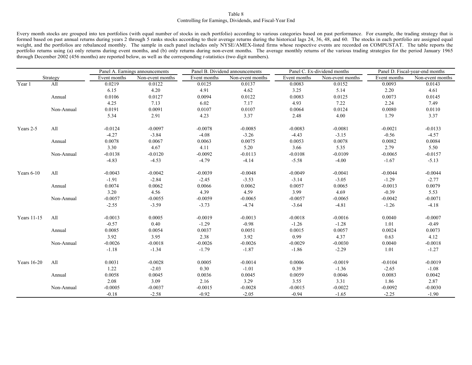#### Controlling for Earnings, Dividends, and Fiscal-Year End Table 8

Every month stocks are grouped into ten portfolios (with equal number of stocks in each portfolio) according to various categories based on past performance. For example, the trading strategy that is formed based on past annual returns during years 2 through 5 ranks stocks according to their average returns during the historical lags 24, 36, 48, and 60. The stocks in each portfolio are assigned equal weight, and the portfolios are rebalanced monthly. The sample in each panel includes only NYSE/AMEX-listed firms whose respective events are recorded on COMPUSTAT. The table reports the portfolio returns using (a) only returns during event months, and (b) only returns during non-event months. The average monthly returns of the various trading strategies for the period January 1965 through December 2002 (456 months) are reported below, as well as the corresponding *t*-statistics (two digit numbers).

|                      | Panel A. Earnings announcements |              | Panel B. Dividend announcements |              |                  | Panel C. Ex-dividend months | Panel D. Fiscal-year-end months |              |                  |
|----------------------|---------------------------------|--------------|---------------------------------|--------------|------------------|-----------------------------|---------------------------------|--------------|------------------|
|                      | Strategy                        | Event months | Non-event months                | Event months | Non-event months | Event months                | Non-event months                | Event months | Non-event months |
| $\overline{Y}$ ear 1 | All                             | 0.0219       | 0.0122                          | 0.0125       | 0.0137           | 0.0083                      | 0.0152                          | 0.0093       | 0.0143           |
|                      |                                 | 6.15         | 4.20                            | 4.91         | 4.62             | 3.25                        | 5.14                            | 2.20         | 4.61             |
|                      | Annual                          | 0.0106       | 0.0127                          | 0.0094       | 0.0122           | 0.0083                      | 0.0125                          | 0.0073       | 0.0145           |
|                      |                                 | 4.25         | 7.13                            | 6.02         | 7.17             | 4.93                        | 7.22                            | 2.24         | 7.49             |
|                      | Non-Annual                      | 0.0191       | 0.0091                          | 0.0107       | 0.0107           | 0.0064                      | 0.0124                          | 0.0080       | 0.0110           |
|                      |                                 | 5.34         | 2.91                            | 4.23         | 3.37             | 2.48                        | 4.00                            | 1.79         | 3.37             |
| Years 2-5            | All                             | $-0.0124$    | $-0.0097$                       | $-0.0078$    | $-0.0085$        | $-0.0083$                   | $-0.0081$                       | $-0.0021$    | $-0.0133$        |
|                      |                                 | $-4.27$      | $-3.84$                         | $-4.08$      | $-3.26$          | $-4.43$                     | $-3.15$                         | $-0.56$      | $-4.57$          |
|                      | Annual                          | 0.0078       | 0.0067                          | 0.0063       | 0.0075           | 0.0053                      | 0.0078                          | 0.0082       | 0.0084           |
|                      |                                 | 3.30         | 4.67                            | 4.11         | 5.20             | 3.66                        | 5.35                            | 2.79         | 5.50             |
|                      | Non-Annual                      | $-0.0138$    | $-0.0120$                       | $-0.0092$    | $-0.0113$        | $-0.0108$                   | $-0.0109$                       | $-0.0065$    | $-0.0157$        |
|                      |                                 | $-4.83$      | $-4.53$                         | $-4.79$      | $-4.14$          | $-5.58$                     | $-4.00$                         | $-1.67$      | $-5.13$          |
| Years $6-10$         | All                             | $-0.0043$    | $-0.0042$                       | $-0.0039$    | $-0.0048$        | $-0.0049$                   | $-0.0041$                       | $-0.0044$    | $-0.0044$        |
|                      |                                 | $-1.91$      | $-2.84$                         | $-2.45$      | $-3.53$          | $-3.14$                     | $-3.05$                         | $-1.29$      | $-2.77$          |
|                      | Annual                          | 0.0074       | 0.0062                          | 0.0066       | 0.0062           | 0.0057                      | 0.0065                          | $-0.0013$    | 0.0079           |
|                      |                                 | 3.20         | 4.56                            | 4.39         | 4.59             | 3.99                        | 4.69                            | $-0.39$      | 5.53             |
|                      | Non-Annual                      | $-0.0057$    | $-0.0055$                       | $-0.0059$    | $-0.0065$        | $-0.0057$                   | $-0.0065$                       | $-0.0042$    | $-0.0071$        |
|                      |                                 | $-2.55$      | $-3.59$                         | $-3.73$      | $-4.74$          | $-3.64$                     | $-4.81$                         | $-1.26$      | $-4.18$          |
| Years 11-15          | All                             | $-0.0013$    | 0.0005                          | $-0.0019$    | $-0.0013$        | $-0.0018$                   | $-0.0016$                       | 0.0040       | $-0.0007$        |
|                      |                                 | $-0.57$      | 0.40                            | $-1.29$      | $-0.98$          | $-1.26$                     | $-1.28$                         | 1.01         | $-0.49$          |
|                      | Annual                          | 0.0085       | 0.0054                          | 0.0037       | 0.0051           | 0.0015                      | 0.0057                          | 0.0024       | 0.0073           |
|                      |                                 | 3.92         | 3.95                            | 2.38         | 3.92             | 0.99                        | 4.37                            | 0.63         | 4.12             |
|                      | Non-Annual                      | $-0.0026$    | $-0.0018$                       | $-0.0026$    | $-0.0026$        | $-0.0029$                   | $-0.0030$                       | 0.0040       | $-0.0018$        |
|                      |                                 | $-1.18$      | $-1.34$                         | $-1.79$      | $-1.87$          | $-1.86$                     | $-2.29$                         | 1.01         | $-1.27$          |
| Years 16-20          | All                             | 0.0031       | $-0.0028$                       | 0.0005       | $-0.0014$        | 0.0006                      | $-0.0019$                       | $-0.0104$    | $-0.0019$        |
|                      |                                 | 1.22         | $-2.03$                         | 0.30         | $-1.01$          | 0.39                        | $-1.36$                         | $-2.65$      | $-1.08$          |
|                      | Annual                          | 0.0058       | 0.0045                          | 0.0036       | 0.0045           | 0.0059                      | 0.0046                          | 0.0083       | 0.0042           |
|                      |                                 | 2.08         | 3.09                            | 2.16         | 3.29             | 3.55                        | 3.31                            | 1.86         | 2.87             |
|                      | Non-Annual                      | $-0.0005$    | $-0.0037$                       | $-0.0015$    | $-0.0028$        | $-0.0015$                   | $-0.0022$                       | $-0.0092$    | $-0.0030$        |
|                      |                                 | $-0.18$      | $-2.58$                         | $-0.92$      | $-2.05$          | $-0.94$                     | $-1.65$                         | $-2.25$      | $-1.90$          |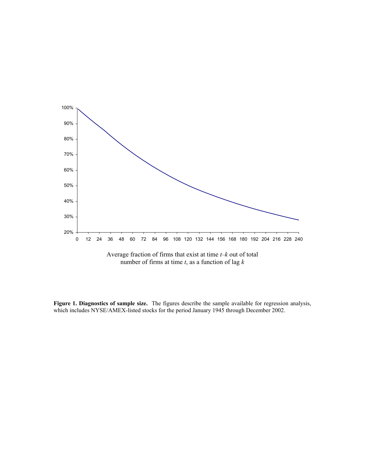

**Figure 1. Diagnostics of sample size.** The figures describe the sample available for regression analysis, which includes NYSE/AMEX-listed stocks for the period January 1945 through December 2002.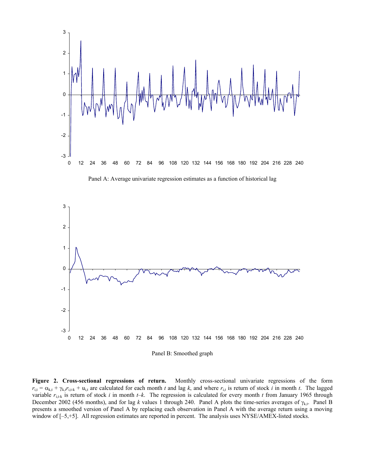

Panel A: Average univariate regression estimates as a function of historical lag



**Figure 2. Cross-sectional regressions of return.** Monthly cross-sectional univariate regressions of the form  $r_{i,t} = \alpha_{k,t} + \gamma_{k,t} r_{i,t-k} + u_{i,t}$  are calculated for each month *t* and lag *k*, and where  $r_{i,t}$  is return of stock *i* in month *t*. The lagged variable  $r_{i,t-k}$  is return of stock *i* in month  $t-k$ . The regression is calculated for every month *t* from January 1965 through December 2002 (456 months), and for lag *k* values 1 through 240. Panel A plots the time-series averages of  $\gamma_{k,t}$ . Panel B presents a smoothed version of Panel A by replacing each observation in Panel A with the average return using a moving window of  $[-5, +5]$ . All regression estimates are reported in percent. The analysis uses NYSE/AMEX-listed stocks.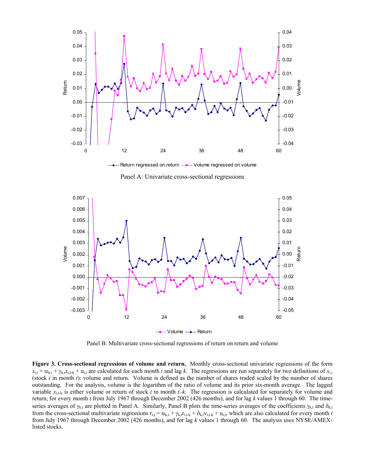

Panel A: Univariate cross-sectional regressions



Panel B: Multivariate cross-sectional regressions of return on return and volume

**Figure 3. Cross-sectional regressions of volume and return.** Monthly cross-sectional univariate regressions of the form  $x_{i,t} = \alpha_{k,t} + \gamma_{k,t}x_{i,t+k} + u_{i,t}$  are calculated for each month *t* and lag *k*. The regressions are run separately for two definitions of  $x_{i,t}$ (stock *i* in month *t*): volume and return. Volume is defined as the number of shares traded scaled by the number of shares outstanding. For the analysis, volume is the logarithm of the ratio of volume and its prior six-month average. The lagged variable  $x_{i,t-k}$  is either volume or return of stock *i* in month  $t-k$ . The regression is calculated for separately for volume and return, for every month *t* from July 1967 through December 2002 (426 months), and for lag *k* values 1 through 60. The timeseries averages of  $\gamma_{k,t}$  are plotted in Panel A. Similarly, Panel B plots the time-series averages of the coefficients  $\gamma_{k,t}$  and  $\delta_{k,t}$ from the cross-sectional multivariate regressions  $r_{i,t} = \alpha_{k,t} + \gamma_{k,t} r_{i,t-k} + \delta_{k,t} v_{i,t-k} + u_{i,t}$ , which are also calculated for every month *t* from July 1967 through December 2002 (426 months), and for lag *k* values 1 through 60. The analysis uses NYSE/AMEXlisted stocks.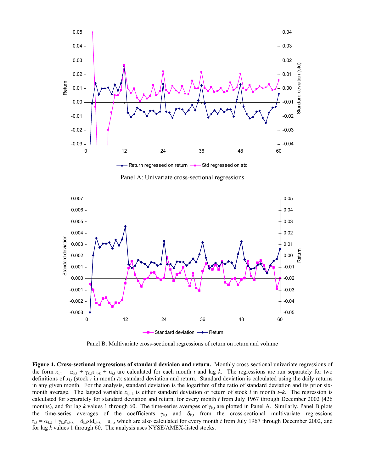

Panel A: Univariate cross-sectional regressions



Panel B: Multivariate cross-sectional regressions of return on return and volume

**Figure 4. Cross-sectional regressions of standard deviaion and return.** Monthly cross-sectional univariate regressions of the form  $x_{i,t} = \alpha_{k,t} + \gamma_{k,t}x_{i,t-k} + u_{i,t}$  are calculated for each month *t* and lag *k*. The regressions are run separately for two definitions of  $x_{i,t}$  (stock *i* in month *t*): standard deviation and return. Standard deviation is calculated using the daily returns in any given month. For the analysis, standard deviation is the logarithm of the ratio of standard deviation and its prior sixmonth average. The lagged variable  $x_{i,t+k}$  is either standard deviation or return of stock *i* in month  $t-k$ . The regression is calculated for separately for standard deviation and return, for every month *t* from July 1967 through December 2002 (426 months), and for lag *k* values 1 through 60. The time-series averages of γ<sub>k,t</sub> are plotted in Panel A. Similarly, Panel B plots the time-series averages of the coefficients  $\gamma_{k,t}$  and  $\delta_{k,t}$  from the cross-sectional multivariate regressions  $r_{i,t} = \alpha_{k,t} + \gamma_{k,t} r_{i,t-k} + \delta_{k,t} s t d_{i,t-k} + u_{i,t}$ , which are also calculated for every month *t* from July 1967 through December 2002, and for lag *k* values 1 through 60. The analysis uses NYSE/AMEX-listed stocks.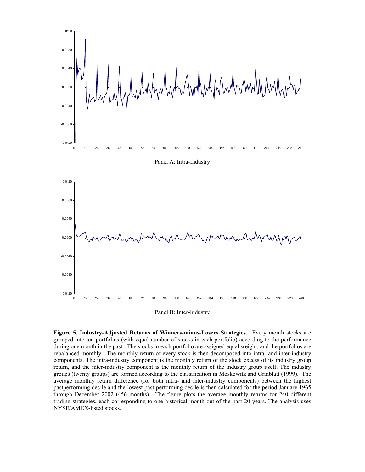

Panel A: Intra-Industry



Panel B: Inter-Industry

**Figure 5. Industry-Adjusted Returns of Winners-minus-Losers Strategies.** Every month stocks are grouped into ten portfolios (with equal number of stocks in each portfolio) according to the performance during one month in the past. The stocks in each portfolio are assigned equal weight, and the portfolios are rebalanced monthly. The monthly return of every stock is then decomposed into intra- and inter-industry components. The intra-industry component is the monthly return of the stock excess of its industry group return, and the inter-industry component is the monthly return of the industry group itself. The industry groups (twenty groups) are formed according to the classification in Moskowitz and Grinblatt (1999). The average monthly return difference (for both intra- and inter-industry components) between the highest pastperforming decile and the lowest past-performing decile is then calculated for the period January 1965 through December 2002 (456 months). The figure plots the average monthly returns for 240 different trading strategies, each corresponding to one historical month out of the past 20 years. The analysis uses NYSE/AMEX-listed stocks.